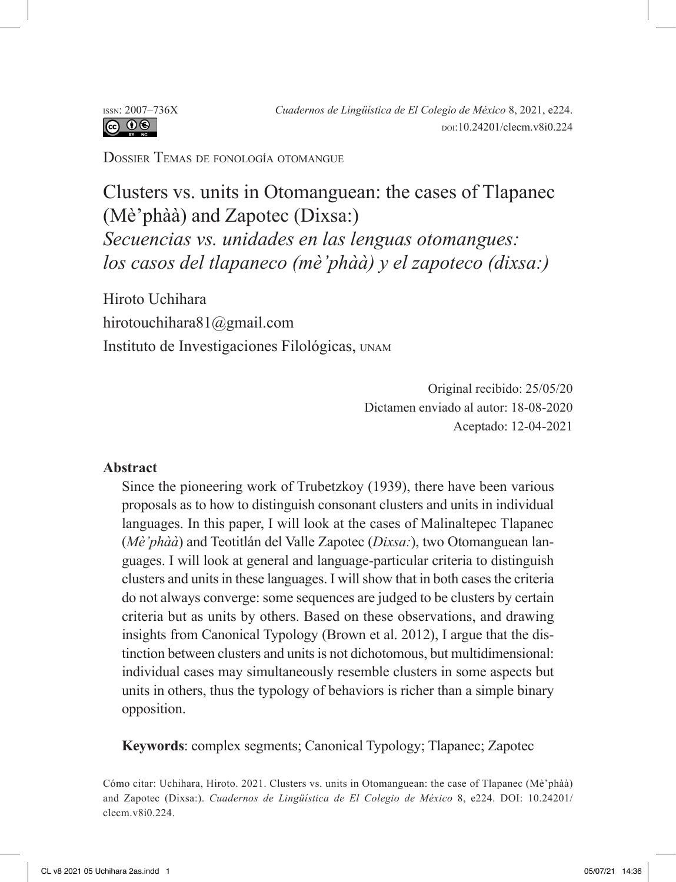Dossier Temas de fonología otomangue

Clusters vs. units in Otomanguean: the cases of Tlapanec (Mè'phàà) and Zapotec (Dixsa:) *Secuencias vs. unidades en las lenguas otomangues: los casos del tlapaneco (mè'phàà) y el zapoteco (dixsa:)*

Hiroto Uchihara hirotouchihara81@gmail.com Instituto de Investigaciones Filológicas, unam

> Original recibido: 25/05/20 Dictamen enviado al autor: 18-08-2020 Aceptado: 12-04-2021

#### **Abstract**

Since the pioneering work of Trubetzkoy (1939), there have been various proposals as to how to distinguish consonant clusters and units in individual languages. In this paper, I will look at the cases of Malinaltepec Tlapanec (*Mè'phàà*) and Teotitlán del Valle Zapotec (*Dixsa:*), two Otomanguean languages. I will look at general and language-particular criteria to distinguish clusters and units in these languages. I will show that in both cases the criteria do not always converge: some sequences are judged to be clusters by certain criteria but as units by others. Based on these observations, and drawing insights from Canonical Typology (Brown et al. 2012), I argue that the distinction between clusters and units is not dichotomous, but multidimensional: individual cases may simultaneously resemble clusters in some aspects but units in others, thus the typology of behaviors is richer than a simple binary opposition.

**Keywords**: complex segments; Canonical Typology; Tlapanec; Zapotec

Cómo citar: Uchihara, Hiroto. 2021. Clusters vs. units in Otomanguean: the case of Tlapanec (Mè'phàà) and Zapotec (Dixsa:). *Cuadernos de Lingüística de El Colegio de México* 8, e224. DOI: 10.24201/ clecm.v8i0.224.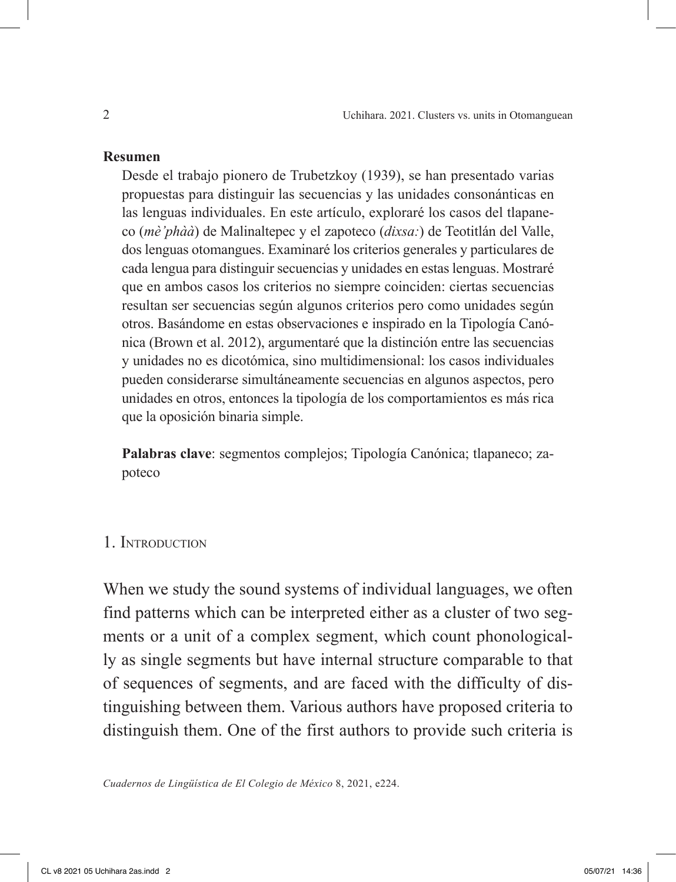#### **Resumen**

Desde el trabajo pionero de Trubetzkoy (1939), se han presentado varias propuestas para distinguir las secuencias y las unidades consonánticas en las lenguas individuales. En este artículo, exploraré los casos del tlapaneco (*mè'phàà*) de Malinaltepec y el zapoteco (*dixsa:*) de Teotitlán del Valle, dos lenguas otomangues. Examinaré los criterios generales y particulares de cada lengua para distinguir secuencias y unidades en estas lenguas. Mostraré que en ambos casos los criterios no siempre coinciden: ciertas secuencias resultan ser secuencias según algunos criterios pero como unidades según otros. Basándome en estas observaciones e inspirado en la Tipología Canónica (Brown et al. 2012), argumentaré que la distinción entre las secuencias y unidades no es dicotómica, sino multidimensional: los casos individuales pueden considerarse simultáneamente secuencias en algunos aspectos, pero unidades en otros, entonces la tipología de los comportamientos es más rica que la oposición binaria simple.

**Palabras clave**: segmentos complejos; Tipología Canónica; tlapaneco; zapoteco

### 1. Introduction

When we study the sound systems of individual languages, we often find patterns which can be interpreted either as a cluster of two segments or a unit of a complex segment, which count phonologically as single segments but have internal structure comparable to that of sequences of segments, and are faced with the difficulty of distinguishing between them. Various authors have proposed criteria to distinguish them. One of the first authors to provide such criteria is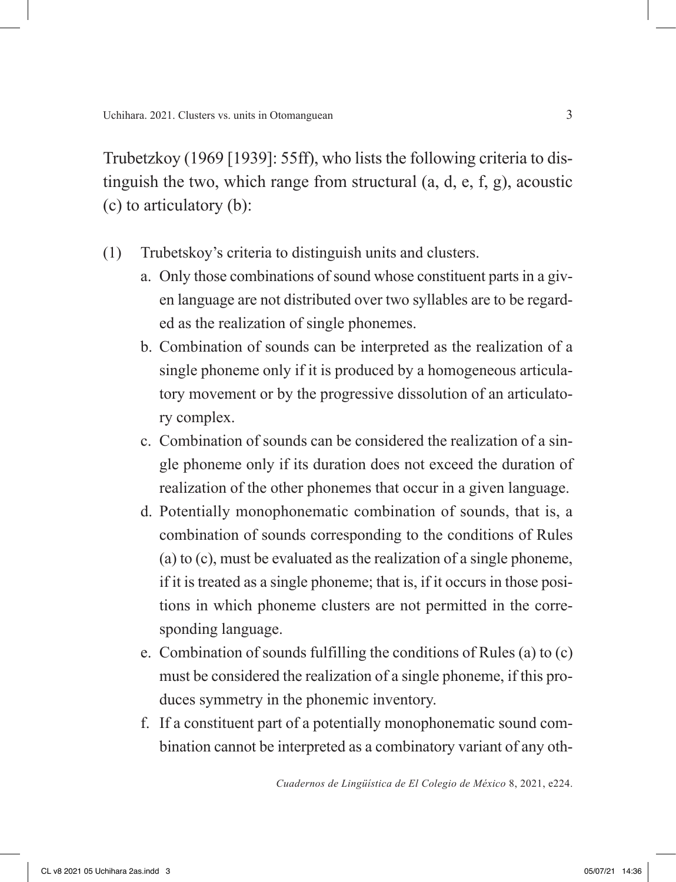Trubetzkoy (1969 [1939]: 55ff), who lists the following criteria to distinguish the two, which range from structural (a, d, e, f, g), acoustic (c) to articulatory (b):

- (1) Trubetskoy's criteria to distinguish units and clusters.
	- a. Only those combinations of sound whose constituent parts in a given language are not distributed over two syllables are to be regarded as the realization of single phonemes.
	- b. Combination of sounds can be interpreted as the realization of a single phoneme only if it is produced by a homogeneous articulatory movement or by the progressive dissolution of an articulatory complex.
	- c. Combination of sounds can be considered the realization of a single phoneme only if its duration does not exceed the duration of realization of the other phonemes that occur in a given language.
	- d. Potentially monophonematic combination of sounds, that is, a combination of sounds corresponding to the conditions of Rules (a) to (c), must be evaluated as the realization of a single phoneme, if it is treated as a single phoneme; that is, if it occurs in those positions in which phoneme clusters are not permitted in the corresponding language.
	- e. Combination of sounds fulfilling the conditions of Rules (a) to (c) must be considered the realization of a single phoneme, if this produces symmetry in the phonemic inventory.
	- f. If a constituent part of a potentially monophonematic sound combination cannot be interpreted as a combinatory variant of any oth-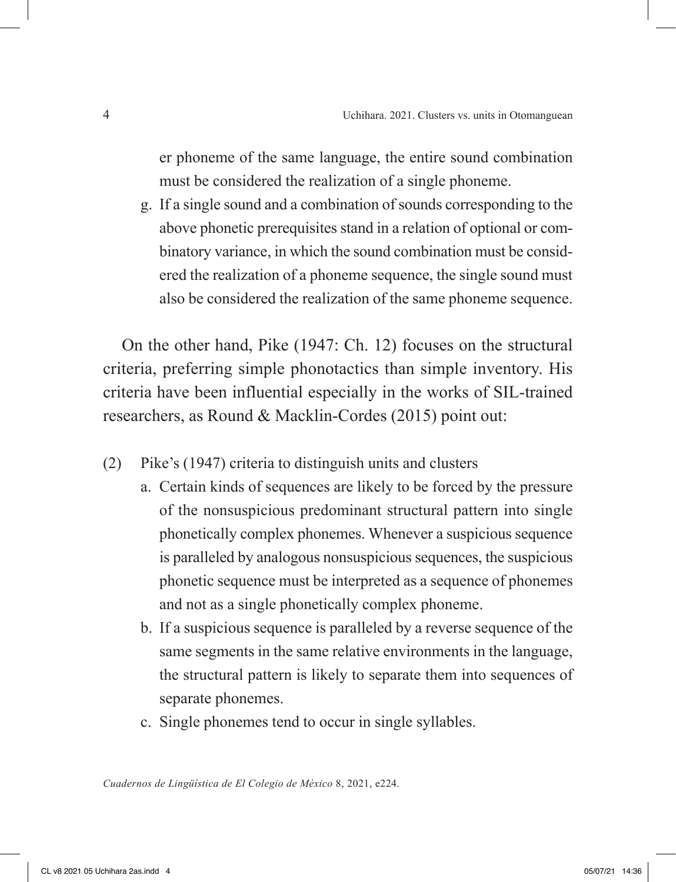er phoneme of the same language, the entire sound combination must be considered the realization of a single phoneme.

g. If a single sound and a combination of sounds corresponding to the above phonetic prerequisites stand in a relation of optional or combinatory variance, in which the sound combination must be considered the realization of a phoneme sequence, the single sound must also be considered the realization of the same phoneme sequence.

On the other hand, Pike (1947: Ch. 12) focuses on the structural criteria, preferring simple phonotactics than simple inventory. His criteria have been influential especially in the works of SIL-trained researchers, as Round & Macklin-Cordes (2015) point out:

- (2) Pike's (1947) criteria to distinguish units and clusters
	- a. Certain kinds of sequences are likely to be forced by the pressure of the nonsuspicious predominant structural pattern into single phonetically complex phonemes. Whenever a suspicious sequence is paralleled by analogous nonsuspicious sequences, the suspicious phonetic sequence must be interpreted as a sequence of phonemes and not as a single phonetically complex phoneme.
	- b. If a suspicious sequence is paralleled by a reverse sequence of the same segments in the same relative environments in the language, the structural pattern is likely to separate them into sequences of separate phonemes.
	- c. Single phonemes tend to occur in single syllables.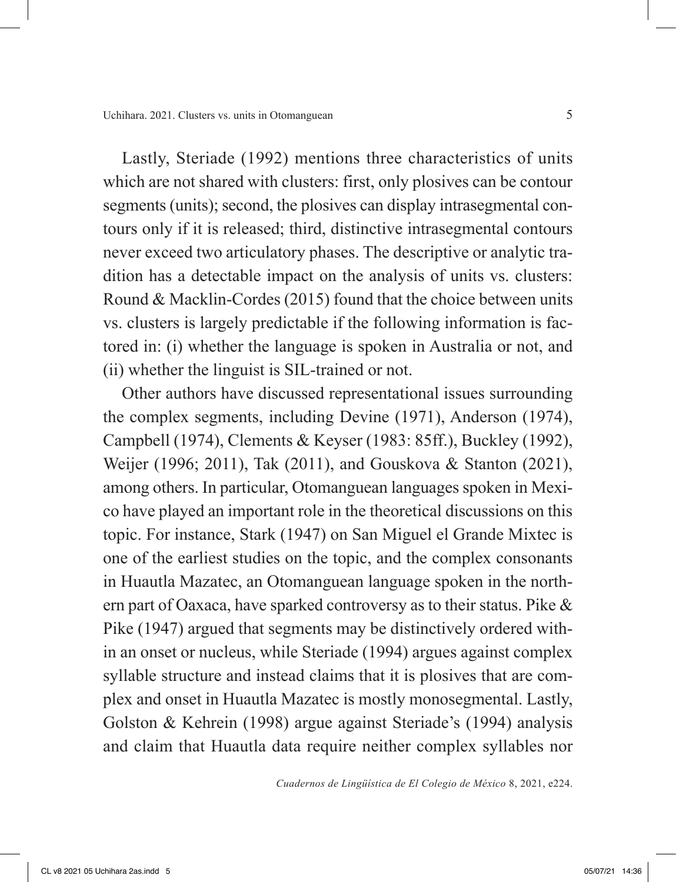Lastly, Steriade (1992) mentions three characteristics of units which are not shared with clusters: first, only plosives can be contour segments (units); second, the plosives can display intrasegmental contours only if it is released; third, distinctive intrasegmental contours never exceed two articulatory phases. The descriptive or analytic tradition has a detectable impact on the analysis of units vs. clusters: Round & Macklin-Cordes (2015) found that the choice between units vs. clusters is largely predictable if the following information is factored in: (i) whether the language is spoken in Australia or not, and (ii) whether the linguist is SIL-trained or not.

Other authors have discussed representational issues surrounding the complex segments, including Devine (1971), Anderson (1974), Campbell (1974), Clements & Keyser (1983: 85ff.), Buckley (1992), Weijer (1996; 2011), Tak (2011), and Gouskova & Stanton (2021), among others. In particular, Otomanguean languages spoken in Mexico have played an important role in the theoretical discussions on this topic. For instance, Stark (1947) on San Miguel el Grande Mixtec is one of the earliest studies on the topic, and the complex consonants in Huautla Mazatec, an Otomanguean language spoken in the northern part of Oaxaca, have sparked controversy as to their status. Pike & Pike (1947) argued that segments may be distinctively ordered within an onset or nucleus, while Steriade (1994) argues against complex syllable structure and instead claims that it is plosives that are complex and onset in Huautla Mazatec is mostly monosegmental. Lastly, Golston & Kehrein (1998) argue against Steriade's (1994) analysis and claim that Huautla data require neither complex syllables nor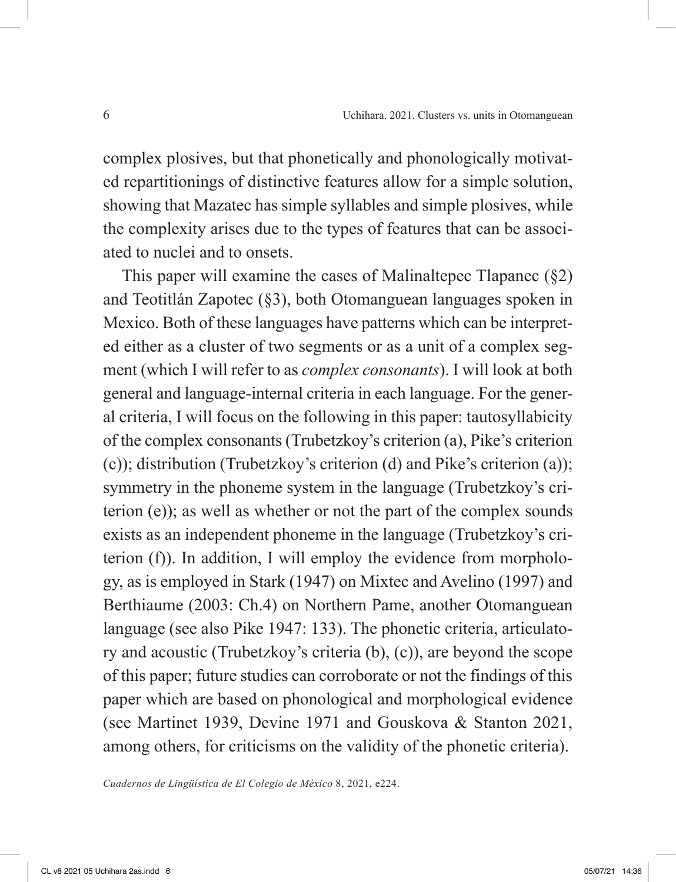complex plosives, but that phonetically and phonologically motivated repartitionings of distinctive features allow for a simple solution, showing that Mazatec has simple syllables and simple plosives, while the complexity arises due to the types of features that can be associated to nuclei and to onsets.

This paper will examine the cases of Malinaltepec Tlapanec (§2) and Teotitlán Zapotec (§3), both Otomanguean languages spoken in Mexico. Both of these languages have patterns which can be interpreted either as a cluster of two segments or as a unit of a complex segment (which I will refer to as *complex consonants*). I will look at both general and language-internal criteria in each language. For the general criteria, I will focus on the following in this paper: tautosyllabicity of the complex consonants (Trubetzkoy's criterion (a), Pike's criterion (c)); distribution (Trubetzkoy's criterion (d) and Pike's criterion (a)); symmetry in the phoneme system in the language (Trubetzkoy's criterion (e)); as well as whether or not the part of the complex sounds exists as an independent phoneme in the language (Trubetzkoy's criterion (f)). In addition, I will employ the evidence from morphology, as is employed in Stark (1947) on Mixtec and Avelino (1997) and Berthiaume (2003: Ch.4) on Northern Pame, another Otomanguean language (see also Pike 1947: 133). The phonetic criteria, articulatory and acoustic (Trubetzkoy's criteria (b), (c)), are beyond the scope of this paper; future studies can corroborate or not the findings of this paper which are based on phonological and morphological evidence (see Martinet 1939, Devine 1971 and Gouskova & Stanton 2021, among others, for criticisms on the validity of the phonetic criteria).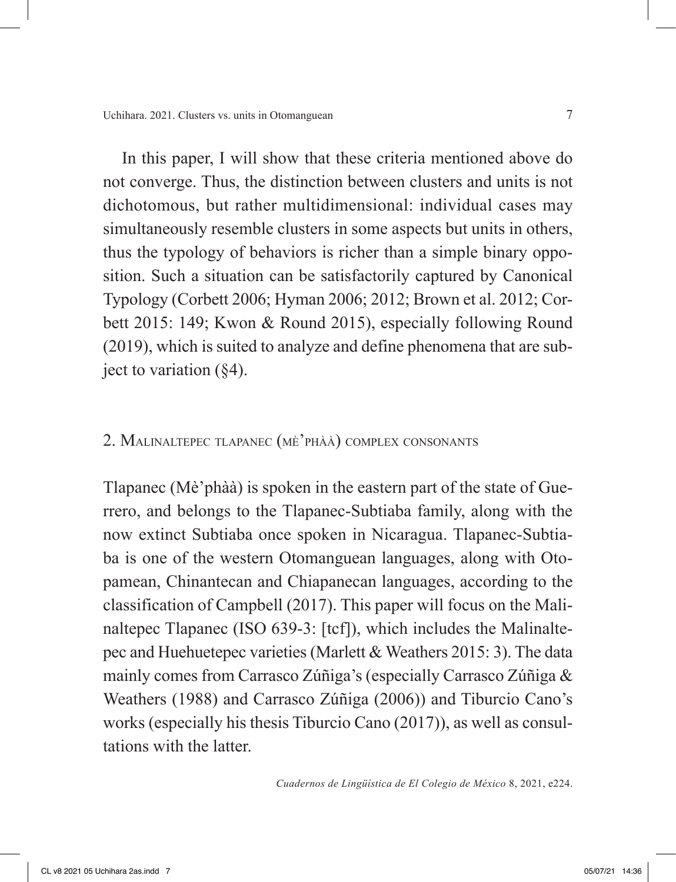In this paper, I will show that these criteria mentioned above do not converge. Thus, the distinction between clusters and units is not dichotomous, but rather multidimensional: individual cases may simultaneously resemble clusters in some aspects but units in others, thus the typology of behaviors is richer than a simple binary opposition. Such a situation can be satisfactorily captured by Canonical Typology (Corbett 2006; Hyman 2006; 2012; Brown et al. 2012; Corbett 2015: 149; Kwon & Round 2015), especially following Round (2019), which is suited to analyze and define phenomena that are subject to variation  $(84)$ .

### 2. Malinaltepec tlapanec (mè'phàà) complex consonants

Tlapanec (Mè'phàà) is spoken in the eastern part of the state of Guerrero, and belongs to the Tlapanec-Subtiaba family, along with the now extinct Subtiaba once spoken in Nicaragua. Tlapanec-Subtiaba is one of the western Otomanguean languages, along with Otopamean, Chinantecan and Chiapanecan languages, according to the classification of Campbell (2017). This paper will focus on the Malinaltepec Tlapanec (ISO 639-3: [tcf]), which includes the Malinaltepec and Huehuetepec varieties (Marlett & Weathers 2015: 3). The data mainly comes from Carrasco Zúñiga's (especially Carrasco Zúñiga & Weathers (1988) and Carrasco Zúñiga (2006)) and Tiburcio Cano's works (especially his thesis Tiburcio Cano (2017)), as well as consultations with the latter.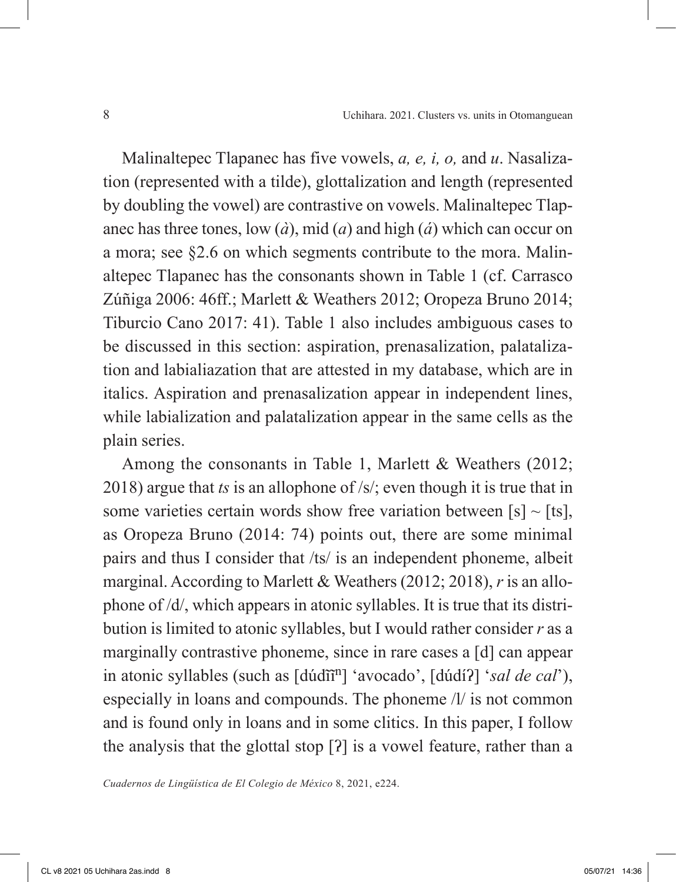Malinaltepec Tlapanec has five vowels, *a, e, i, o,* and *u*. Nasalization (represented with a tilde), glottalization and length (represented by doubling the vowel) are contrastive on vowels. Malinaltepec Tlapanec has three tones, low (*à*), mid (*a*) and high (*á*) which can occur on a mora; see §2.6 on which segments contribute to the mora. Malinaltepec Tlapanec has the consonants shown in Table 1 (cf. Carrasco Zúñiga 2006: 46ff.; Marlett & Weathers 2012; Oropeza Bruno 2014; Tiburcio Cano 2017: 41). Table 1 also includes ambiguous cases to be discussed in this section: aspiration, prenasalization, palatalization and labialiazation that are attested in my database, which are in italics. Aspiration and prenasalization appear in independent lines, while labialization and palatalization appear in the same cells as the plain series.

Among the consonants in Table 1, Marlett & Weathers (2012; 2018) argue that *ts* is an allophone of /s/; even though it is true that in some varieties certain words show free variation between [s]  $\sim$  [ts], as Oropeza Bruno (2014: 74) points out, there are some minimal pairs and thus I consider that /ts/ is an independent phoneme, albeit marginal. According to Marlett & Weathers (2012; 2018), *r* is an allophone of /d/, which appears in atonic syllables. It is true that its distribution is limited to atonic syllables, but I would rather consider *r* as a marginally contrastive phoneme, since in rare cases a [d] can appear in atonic syllables (such as  $\left[ \frac{d\hat{u}}{d\hat{n}^n} \right]$  'avocado',  $\left[ \frac{d\hat{u}}{d\hat{n}^n} \right]$  '*sal de cal*'), especially in loans and compounds. The phoneme /l/ is not common and is found only in loans and in some clitics. In this paper, I follow the analysis that the glottal stop [ʔ] is a vowel feature, rather than a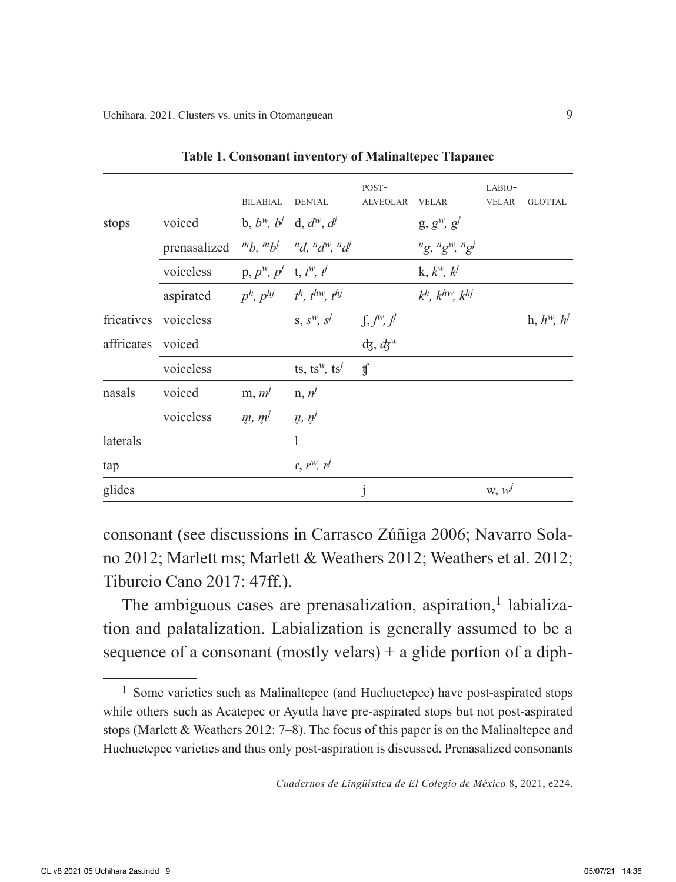|              | <b>BILABIAL</b> | <b>DENTAL</b>                         | POST-<br><b>ALVEOLAR</b>                                                                                                                                                       | <b>VELAR</b>                       | LABIO-<br><b>VELAR</b> | <b>GLOTTAL</b>   |
|--------------|-----------------|---------------------------------------|--------------------------------------------------------------------------------------------------------------------------------------------------------------------------------|------------------------------------|------------------------|------------------|
| voiced       |                 |                                       |                                                                                                                                                                                | $g, g^w, g^j$                      |                        |                  |
| prenasalized |                 |                                       |                                                                                                                                                                                | $n_g$ , $n_g$ <sup>w</sup> , $n_g$ |                        |                  |
| voiceless    |                 |                                       |                                                                                                                                                                                | k, $k^w$ , $k^j$                   |                        |                  |
| aspirated    |                 |                                       |                                                                                                                                                                                | $k^h$ , $k^{hw}$ , $k^{hj}$        |                        |                  |
| voiceless    |                 | $S, S^W, S^j$                         |                                                                                                                                                                                |                                    |                        | h, $h^w$ , $h^j$ |
| voiced       |                 |                                       | $\mathrm{d}\mathrm{z},\mathrm{d}\mathrm{z}^w$                                                                                                                                  |                                    |                        |                  |
| voiceless    |                 | ts, ts <sup>w</sup> , ts <sup>j</sup> | ţſ                                                                                                                                                                             |                                    |                        |                  |
| voiced       | $m, m^j$        | $n, n^j$                              |                                                                                                                                                                                |                                    |                        |                  |
| voiceless    | m, m'           | $\eta, \eta^j$                        |                                                                                                                                                                                |                                    |                        |                  |
|              |                 | 1                                     |                                                                                                                                                                                |                                    |                        |                  |
|              |                 | $\int f, r^W, r^j$                    |                                                                                                                                                                                |                                    |                        |                  |
|              |                 |                                       | j                                                                                                                                                                              |                                    | $W, W^{j}$             |                  |
|              |                 |                                       | b, $b^w$ , $b^j$ d, $d^w$ , $d^j$<br>${}^{m}b, {}^{m}b^{j}$ ${}^{n}d, {}^{n}d^{w}, {}^{n}d^{j}$<br>$p, p^w, p^j$ t, $t^w, t^j$<br>$p^h$ , $p^{hj}$ $t^h$ , $t^{hw}$ , $t^{hj}$ | $\int, \int^{w}$ , $\int^{q}$      |                        |                  |

**Table 1. Consonant inventory of Malinaltepec Tlapanec**

consonant (see discussions in Carrasco Zúñiga 2006; Navarro Solano 2012; Marlett ms; Marlett & Weathers 2012; Weathers et al. 2012; Tiburcio Cano 2017: 47ff.).

The ambiguous cases are prenasalization, aspiration,<sup>1</sup> labialization and palatalization. Labialization is generally assumed to be a sequence of a consonant (mostly velars)  $+$  a glide portion of a diph-

<sup>&</sup>lt;sup>1</sup> Some varieties such as Malinaltepec (and Huehuetepec) have post-aspirated stops while others such as Acatepec or Ayutla have pre-aspirated stops but not post-aspirated stops (Marlett & Weathers 2012: 7–8). The focus of this paper is on the Malinaltepec and Huehuetepec varieties and thus only post-aspiration is discussed. Prenasalized consonants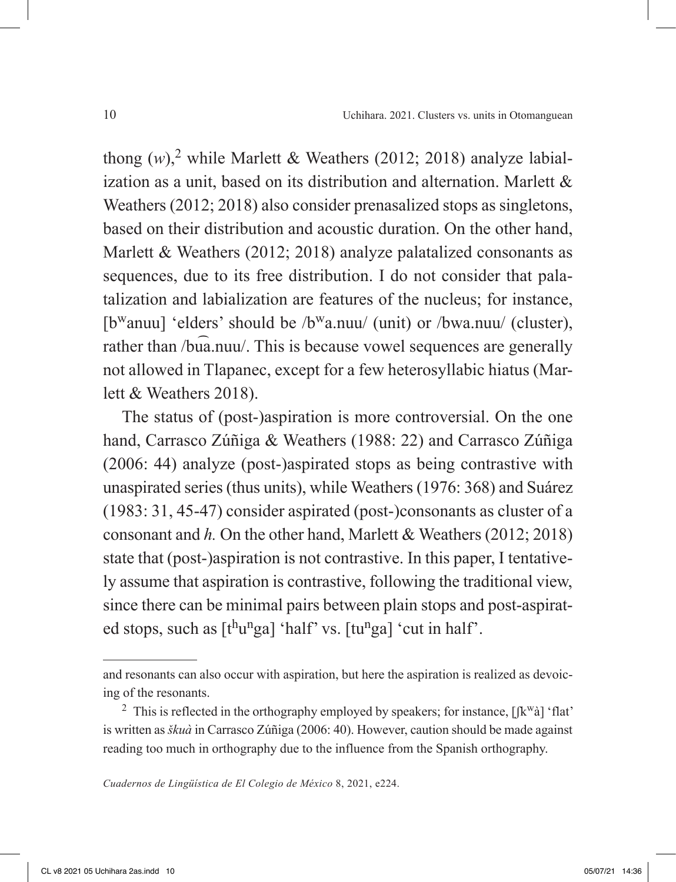thong  $(w)$ ,<sup>2</sup> while Marlett & Weathers (2012; 2018) analyze labialization as a unit, based on its distribution and alternation. Marlett & Weathers (2012; 2018) also consider prenasalized stops as singletons, based on their distribution and acoustic duration. On the other hand, Marlett & Weathers (2012; 2018) analyze palatalized consonants as sequences, due to its free distribution. I do not consider that palatalization and labialization are features of the nucleus; for instance, [b<sup>w</sup>anuu] 'elders' should be /b<sup>w</sup>a.nuu/ (unit) or /bwa.nuu/ (cluster), rather than /bua.nuu/. This is because vowel sequences are generally not allowed in Tlapanec, except for a few heterosyllabic hiatus (Marlett & Weathers 2018).

The status of (post-)aspiration is more controversial. On the one hand, Carrasco Zúñiga & Weathers (1988: 22) and Carrasco Zúñiga (2006: 44) analyze (post-)aspirated stops as being contrastive with unaspirated series (thus units), while Weathers (1976: 368) and Suárez (1983: 31, 45-47) consider aspirated (post-)consonants as cluster of a consonant and *h.* On the other hand, Marlett & Weathers (2012; 2018) state that (post-)aspiration is not contrastive. In this paper, I tentatively assume that aspiration is contrastive, following the traditional view, since there can be minimal pairs between plain stops and post-aspirated stops, such as  $[t^h u^n g a]$  'half' vs.  $[t u^n g a]$  'cut in half'.

and resonants can also occur with aspiration, but here the aspiration is realized as devoicing of the resonants.

<sup>&</sup>lt;sup>2</sup> This is reflected in the orthography employed by speakers; for instance,  $\left[\mathbf{K}^{\mathbf{w}}\hat{\mathbf{a}}\right]$  'flat' is written as *škuà* in Carrasco Zúñiga (2006: 40). However, caution should be made against reading too much in orthography due to the influence from the Spanish orthography.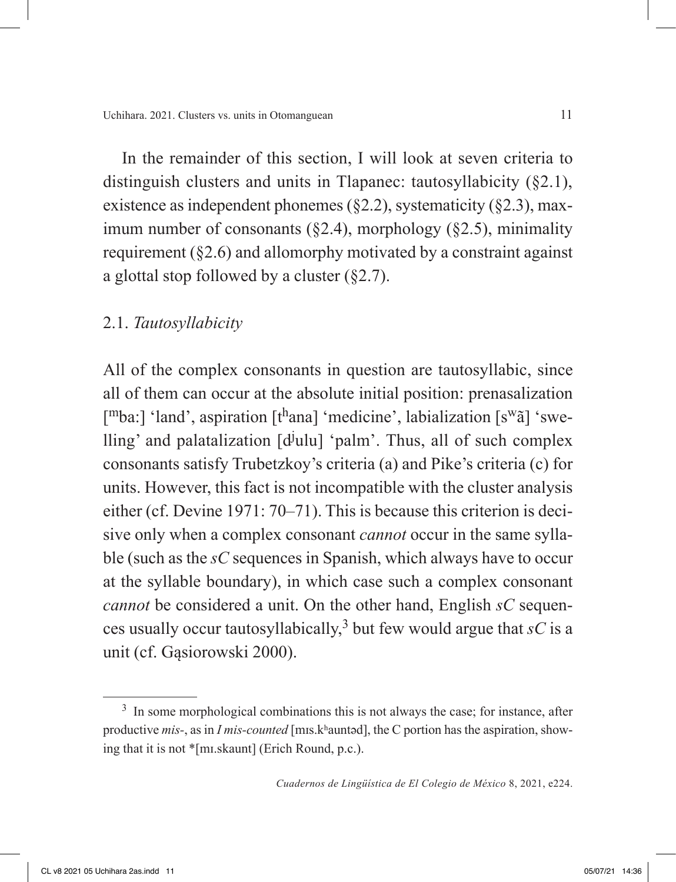In the remainder of this section, I will look at seven criteria to distinguish clusters and units in Tlapanec: tautosyllabicity (§2.1), existence as independent phonemes  $(\S2.2)$ , systematicity  $(\S2.3)$ , maximum number of consonants  $(\S$ 2.4), morphology  $(\S$ 2.5), minimality requirement (§2.6) and allomorphy motivated by a constraint against a glottal stop followed by a cluster (§2.7).

### 2.1. *Tautosyllabicity*

All of the complex consonants in question are tautosyllabic, since all of them can occur at the absolute initial position: prenasalization  $[mba.]$  'land', aspiration  $[t^{\text{h}}$ ana] 'medicine', labialization  $[s^{\text{w}}\tilde{a}]$  'swelling' and palatalization  $[d^j$ ulu] 'palm'. Thus, all of such complex consonants satisfy Trubetzkoy's criteria (a) and Pike's criteria (c) for units. However, this fact is not incompatible with the cluster analysis either (cf. Devine 1971: 70–71). This is because this criterion is decisive only when a complex consonant *cannot* occur in the same syllable (such as the *sC* sequences in Spanish, which always have to occur at the syllable boundary), in which case such a complex consonant *cannot* be considered a unit. On the other hand, English *sC* sequences usually occur tautosyllabically,<sup>3</sup> but few would argue that  $sC$  is a unit (cf. Gąsiorowski 2000).

<sup>&</sup>lt;sup>3</sup> In some morphological combinations this is not always the case; for instance, after productive *mis-*, as in *I mis-counted* [mɪs.kʰauntəd], the C portion has the aspiration, showing that it is not \*[mɪ.skaunt] (Erich Round, p.c.).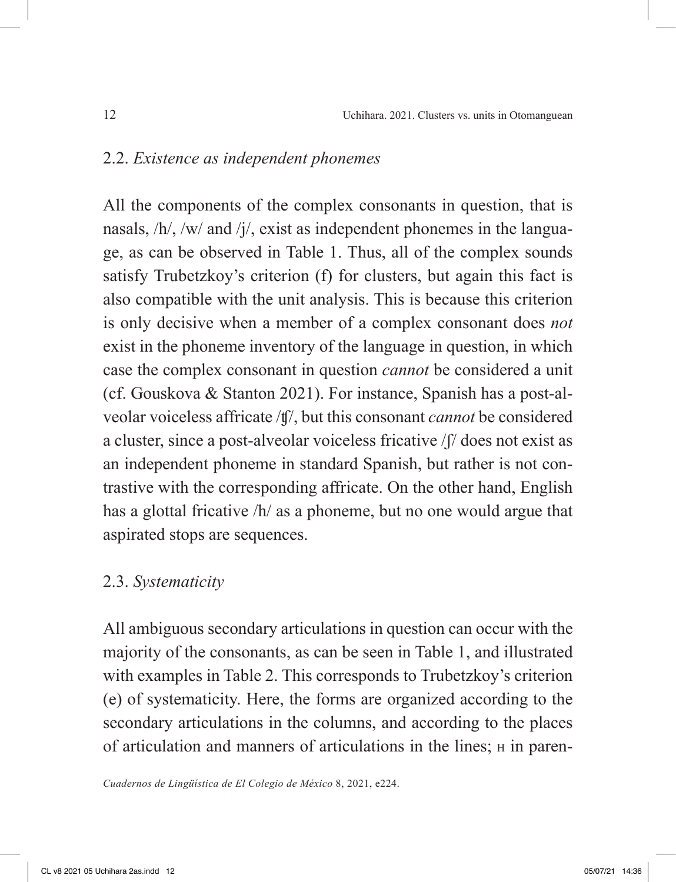### 2.2. *Existence as independent phonemes*

All the components of the complex consonants in question, that is nasals, /h/, /w/ and /j/, exist as independent phonemes in the language, as can be observed in Table 1. Thus, all of the complex sounds satisfy Trubetzkoy's criterion (f) for clusters, but again this fact is also compatible with the unit analysis. This is because this criterion is only decisive when a member of a complex consonant does *not* exist in the phoneme inventory of the language in question, in which case the complex consonant in question *cannot* be considered a unit (cf. Gouskova & Stanton 2021). For instance, Spanish has a post-alveolar voiceless affricate /ʧ/, but this consonant *cannot* be considered a cluster, since a post-alveolar voiceless fricative /ʃ/ does not exist as an independent phoneme in standard Spanish, but rather is not contrastive with the corresponding affricate. On the other hand, English has a glottal fricative /h/ as a phoneme, but no one would argue that aspirated stops are sequences.

### 2.3. *Systematicity*

All ambiguous secondary articulations in question can occur with the majority of the consonants, as can be seen in Table 1, and illustrated with examples in Table 2. This corresponds to Trubetzkoy's criterion (e) of systematicity. Here, the forms are organized according to the secondary articulations in the columns, and according to the places of articulation and manners of articulations in the lines; h in paren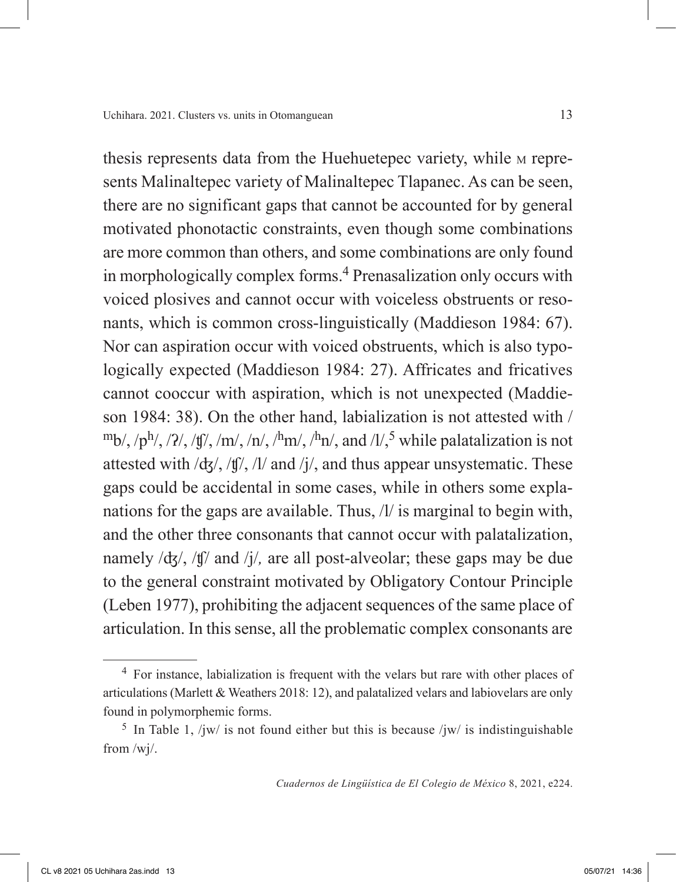thesis represents data from the Huehuetepec variety, while m represents Malinaltepec variety of Malinaltepec Tlapanec. As can be seen, there are no significant gaps that cannot be accounted for by general motivated phonotactic constraints, even though some combinations are more common than others, and some combinations are only found in morphologically complex forms.4 Prenasalization only occurs with voiced plosives and cannot occur with voiceless obstruents or resonants, which is common cross-linguistically (Maddieson 1984: 67). Nor can aspiration occur with voiced obstruents, which is also typologically expected (Maddieson 1984: 27). Affricates and fricatives cannot cooccur with aspiration, which is not unexpected (Maddieson 1984: 38). On the other hand, labialization is not attested with /  $\rm{m_{b/}}$ , / $\rm{p^{h/}}$ , / $\rm{l'}/$ , / $\rm{f'}/$ , / $\rm{m'}$ , / $\rm{h'}$ , / $\rm{h'}$ , / $\rm{h'}$ , and / $\rm{l'}/$ , while palatalization is not attested with  $\frac{dg}{f}$ ,  $\frac{fg}{f}$ ,  $\frac{f}{f}$  and  $\frac{f}{f}$ , and thus appear unsystematic. These gaps could be accidental in some cases, while in others some explanations for the gaps are available. Thus, /l/ is marginal to begin with, and the other three consonants that cannot occur with palatalization, namely /ʤ/, /ʧ/ and /j/*,* are all post-alveolar; these gaps may be due to the general constraint motivated by Obligatory Contour Principle (Leben 1977), prohibiting the adjacent sequences of the same place of articulation. In this sense, all the problematic complex consonants are

<sup>4</sup> For instance, labialization is frequent with the velars but rare with other places of articulations (Marlett & Weathers 2018: 12), and palatalized velars and labiovelars are only found in polymorphemic forms.

<sup>&</sup>lt;sup>5</sup> In Table 1, /jw/ is not found either but this is because /jw/ is indistinguishable from /wj/.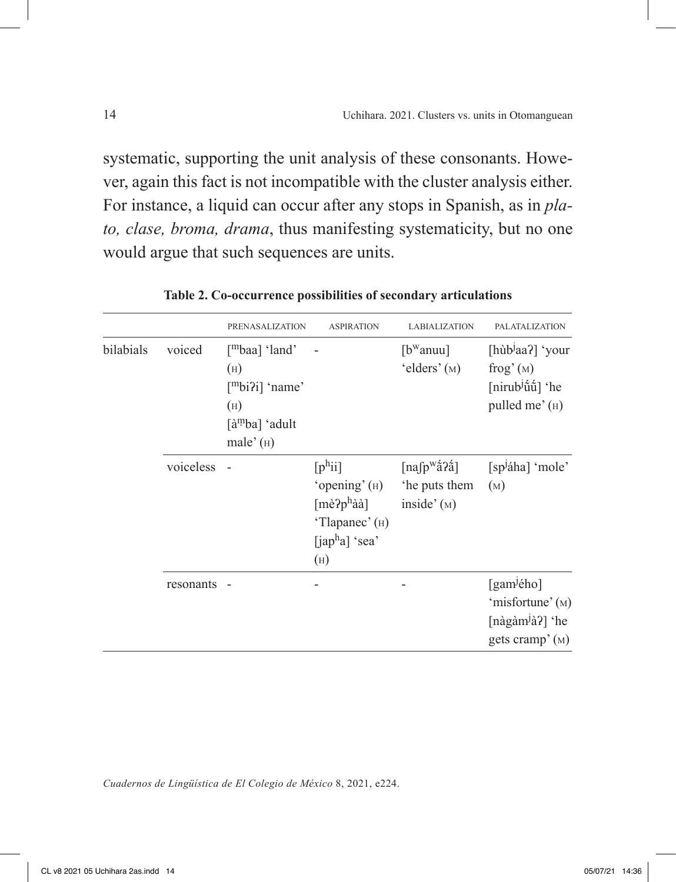systematic, supporting the unit analysis of these consonants. However, again this fact is not incompatible with the cluster analysis either. For instance, a liquid can occur after any stops in Spanish, as in *plato, clase, broma, drama*, thus manifesting systematicity, but no one would argue that such sequences are units.

|           |           | <b>PRENASALIZATION</b>                                                                                                  | <b>ASPIRATION</b>                                                                                             | <b>LABIALIZATION</b>                                                                                                            | <b>PALATALIZATION</b>                                                                           |
|-----------|-----------|-------------------------------------------------------------------------------------------------------------------------|---------------------------------------------------------------------------------------------------------------|---------------------------------------------------------------------------------------------------------------------------------|-------------------------------------------------------------------------------------------------|
| bilabials | voiced    | $\lceil mbaa \rceil$ 'land'<br>(H)<br>$[$ <sup>m</sup> bi?i] 'name'<br>(H)<br>[à <sup>m</sup> ba] 'adult<br>male' $(H)$ |                                                                                                               | $[b^{\rm w}$ anuu]<br>'elders' $(M)$                                                                                            | [hùb <sup><i>l</i>aa?] 'your</sup><br>frog'(M)<br>[nirub <sup>j</sup> űű] 'he<br>pulled me' (H) |
|           | voiceless |                                                                                                                         | [p <sup>h</sup> ii]<br>'opening' $(H)$<br>$[m\grave{e}$ ? $p^h$ àà]<br>'Tlapanec' (H)<br>[japha] 'sea'<br>(H) | $\lceil \text{na} \lceil \text{p}^{\text{w}} \hat{\mathbf{a}} \rceil \hat{\mathbf{a}} \rceil$<br>'he puts them<br>inside' $(M)$ | [sp <sup>j</sup> áha] 'mole'<br>(M)                                                             |
|           | resonants |                                                                                                                         |                                                                                                               |                                                                                                                                 | [gam <sup>j</sup> ého]<br>'misfortune' (M)<br>[nàgàm <sup>j</sup> à?] 'he<br>gets cramp' $(M)$  |

**Table 2. Co-occurrence possibilities of secondary articulations**

*Cuadernos de Lingüística de El Colegio de México* 8, 2021, e224.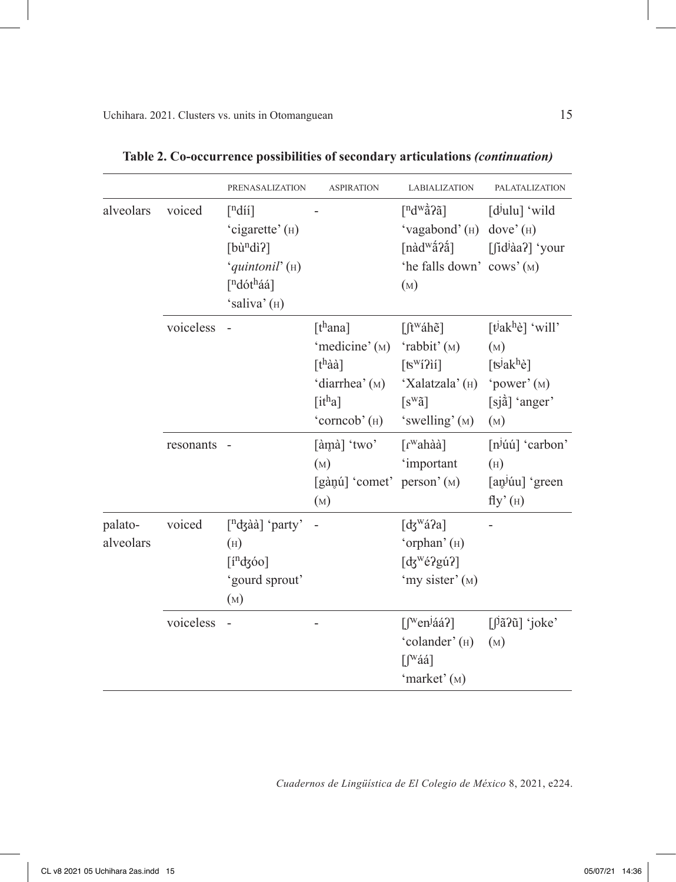|                      |           | <b>PRENASALIZATION</b>                                                                                                                      | <b>ASPIRATION</b>                                                                                        | <b>LABIALIZATION</b>                                                                                                                          | <b>PALATALIZATION</b>                                                                                                    |
|----------------------|-----------|---------------------------------------------------------------------------------------------------------------------------------------------|----------------------------------------------------------------------------------------------------------|-----------------------------------------------------------------------------------------------------------------------------------------------|--------------------------------------------------------------------------------------------------------------------------|
| alveolars            | voiced    | $\lceil$ <sup>n</sup> díí]<br>'cigarette' (H)<br>$[b\hat{u}^ndi]$<br>'quintonil' (H)<br>[ <sup>n</sup> dót <sup>h</sup> áá]<br>'saliva' (H) |                                                                                                          | $\lceil n \frac{d^w}{\tilde{a}}^2 \tilde{a} \rceil$<br>'vagabond' (H) dove' (H)<br>[nàd <sup>w</sup> ấ?ấ]<br>'he falls down' cows' (M)<br>(M) | $[d^j$ ulu] 'wild<br>$[\int id^j \hat{a}a$ ? 'your                                                                       |
|                      | voiceless |                                                                                                                                             | [ $th$ ana]<br>'medicine' (M)<br>$[t^h$ àà]<br>'diarrhea' (M)<br>$[$ it <sup>h</sup> a]<br>'corncob' (H) | $[$ f <sup>w</sup> áhe]<br>'rabbit' (M)<br>$[tswi2ii]$<br>'Xalatzala' (н)<br>$[s^w \tilde{a}]$<br>'swelling' (M)                              | [ $t^j$ ak <sup>h</sup> è] 'will'<br>(M)<br>[ts <sup>j</sup> ak <sup>h</sup> è]<br>'power' $(M)$<br>[sjå] 'anger'<br>(M) |
|                      | resonants |                                                                                                                                             | [àmà] 'two'<br>(M)<br>[gànú] 'comet' person' (M)<br>(M)                                                  | $\lceil r^{\text{w}}\text{ahàà} \rceil$<br>'important                                                                                         | $[n]$ úú] 'carbon'<br>(H)<br>[an <sup>j</sup> úu] 'green<br>$fly'$ $(H)$                                                 |
| palato-<br>alveolars | voiced    | $\left[\text{ndg\^{a}\right]$ 'party'<br>(H)<br>$[indz$ óo]<br>'gourd sprout'<br>(M)                                                        |                                                                                                          | [ $\frac{1}{3}$ <sup>w</sup> á?a]<br>'orphan' (H)<br>[ $dg^w$ é?gú?]<br>'my sister' (M)                                                       |                                                                                                                          |
|                      | voiceless |                                                                                                                                             |                                                                                                          | $\left[\int_{0}^{w} \text{cn}^{j} \hat{a} \hat{a}^{2}\right]$<br>'colander' (H)<br>$\left[\int_{-\infty}^{w} a a\right]$<br>'market' (M)      | $\left[\right]$ a? $\tilde{u}$ ] 'joke'<br>(M)                                                                           |

| Table 2. Co-occurrence possibilities of secondary articulations (continuation) |  |  |
|--------------------------------------------------------------------------------|--|--|
|                                                                                |  |  |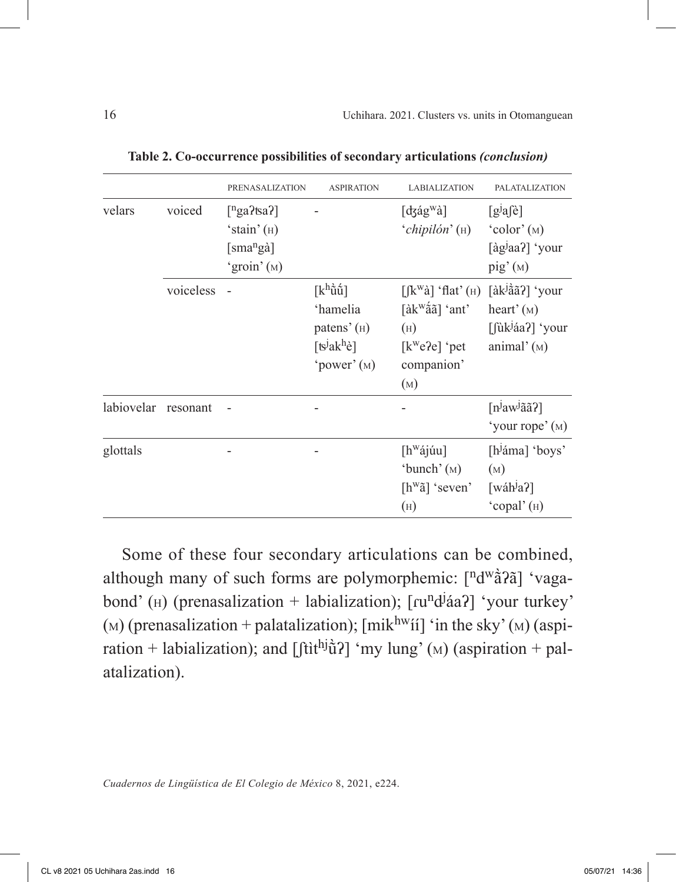|            |           | PRENASALIZATION                                                                           | <b>ASPIRATION</b>                                                                                                         | <b>LABIALIZATION</b>                                                                                                                                                                   | <b>PALATALIZATION</b>                                                                         |
|------------|-----------|-------------------------------------------------------------------------------------------|---------------------------------------------------------------------------------------------------------------------------|----------------------------------------------------------------------------------------------------------------------------------------------------------------------------------------|-----------------------------------------------------------------------------------------------|
| velars     | voiced    | $\lceil$ <sup>n</sup> ga?tsa?]<br>'stain' $(H)$<br>[sma <sup>n</sup> gà]<br>'groin' $(M)$ |                                                                                                                           | $\lceil \text{dgág}^{\text{w}}\hat{a} \rceil$<br>$'$ chipilón' ( $\rm _H$ )                                                                                                            | $[g^j a \hat{e}]$<br>$\text{color}(\text{M})$<br>[àg <sup>j</sup> aa?] 'your<br>$\pi$ ig' (M) |
|            | voiceless |                                                                                           | $\lceil k^h\tilde{u}\tilde{u}\rceil$<br>'hamelia<br>patens' $(H)$<br>[ts <sup>j</sup> ak <sup>h</sup> è]<br>'power' $(M)$ | $[[\mathbf{k}^{\mathrm{w}}\hat{\mathbf{a}}]$ 'flat' ( $\mathbf{H}$ )<br>$\left[ \hat{a}k^{\text{w}}\hat{a}\tilde{a}\right]$ 'ant'<br>(H)<br>$[k^{\rm w}e2e]$ 'pet<br>companion'<br>(M) | [àkʲầãʔ] 'your<br>heart' $(M)$<br>[fùk <sup>j</sup> áa?] 'your<br>animal' $(M)$               |
| labiovelar | resonant  |                                                                                           |                                                                                                                           |                                                                                                                                                                                        | $[n]$ aw <sup>j</sup> ãã?]<br>'your rope' (M)                                                 |
| glottals   |           |                                                                                           |                                                                                                                           | [h <sup>w</sup> ájúu]<br>'bunch' $(M)$<br>$[h^{\rm w}\tilde{a}]$ 'seven'<br>(H)                                                                                                        | [h <sup>j</sup> áma] 'boys'<br>(M)<br>[wáh <sup><math>\alpha</math></sup> ]<br>'copal' $(H)$  |

**Table 2. Co-occurrence possibilities of secondary articulations** *(conclusion)*

Some of these four secondary articulations can be combined, although many of such forms are polymorphemic:  $\lceil n \frac{d^w}{d^2} \rceil$  'vagabond' (H) (prenasalization + labialization); [ru<sup>n</sup>d<sup>j</sup>áa?] 'your turkey'  $(M)$  (prenasalization + palatalization); [mik<sup>hw</sup>ii] 'in the sky'  $(M)$  (aspiration + labialization); and  $[{\text{fit}}^{\text{h}j}$  $\tilde{u}$ ?  ${\text{m}}$  lung' (<sub>M</sub>) (aspiration + palatalization).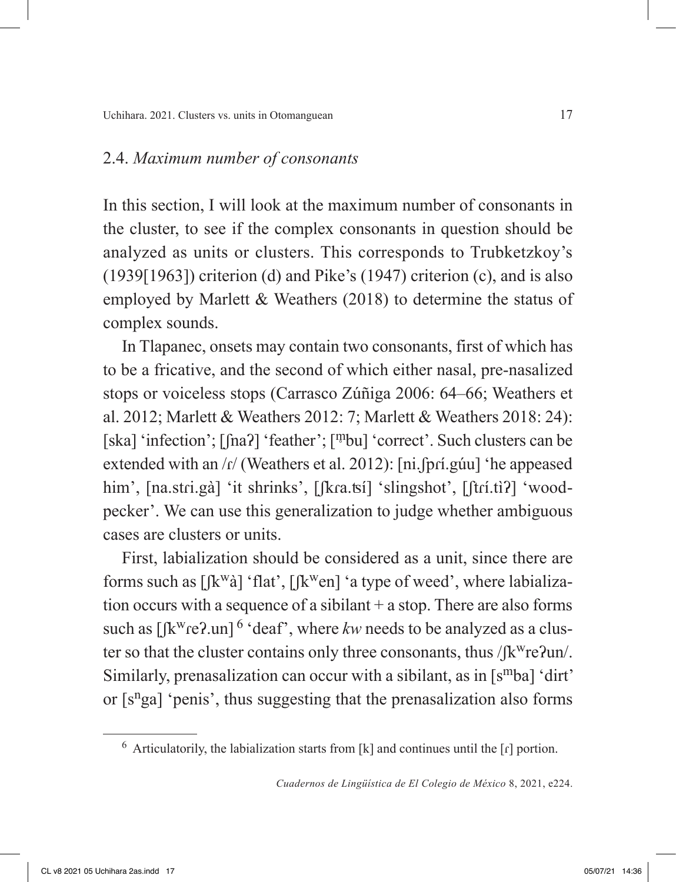## 2.4. *Maximum number of consonants*

In this section, I will look at the maximum number of consonants in the cluster, to see if the complex consonants in question should be analyzed as units or clusters. This corresponds to Trubketzkoy's  $(1939[1963])$  criterion (d) and Pike's  $(1947)$  criterion (c), and is also employed by Marlett & Weathers (2018) to determine the status of complex sounds.

In Tlapanec, onsets may contain two consonants, first of which has to be a fricative, and the second of which either nasal, pre-nasalized stops or voiceless stops (Carrasco Zúñiga 2006: 64–66; Weathers et al. 2012; Marlett & Weathers 2012: 7; Marlett & Weathers 2018: 24): [ska] 'infection'; [fna?] 'feather'; [<sup>m</sup>bu] 'correct'. Such clusters can be extended with an /r/ (Weathers et al. 2012): [ni.fprí.gúu] 'he appeased him', [na.stri.gà] 'it shrinks', [ʃkɾa.ʦí] 'slingshot', [ʃtrí.tiʔ] 'woodpecker'. We can use this generalization to judge whether ambiguous cases are clusters or units.

First, labialization should be considered as a unit, since there are forms such as  $[[k^{\omega}\hat{a}]$  'flat',  $[[k^{\omega}e\hat{b}]]$  'a type of weed', where labialization occurs with a sequence of a sibilant + a stop. There are also forms such as  $\left[\frac{K^w}{e^2}\right]$ .un<sup>6</sup> 'deaf', where *kw* needs to be analyzed as a cluster so that the cluster contains only three consonants, thus  $\int \int k^w r e^2 u$ . Similarly, prenasalization can occur with a sibilant, as in  $[s^mba]$  'dirt' or  $[s<sup>n</sup>ga]$  'penis', thus suggesting that the prenasalization also forms

 $6$  Articulatorily, the labialization starts from [k] and continues until the  $\lceil \mathbf{r} \rceil$  portion.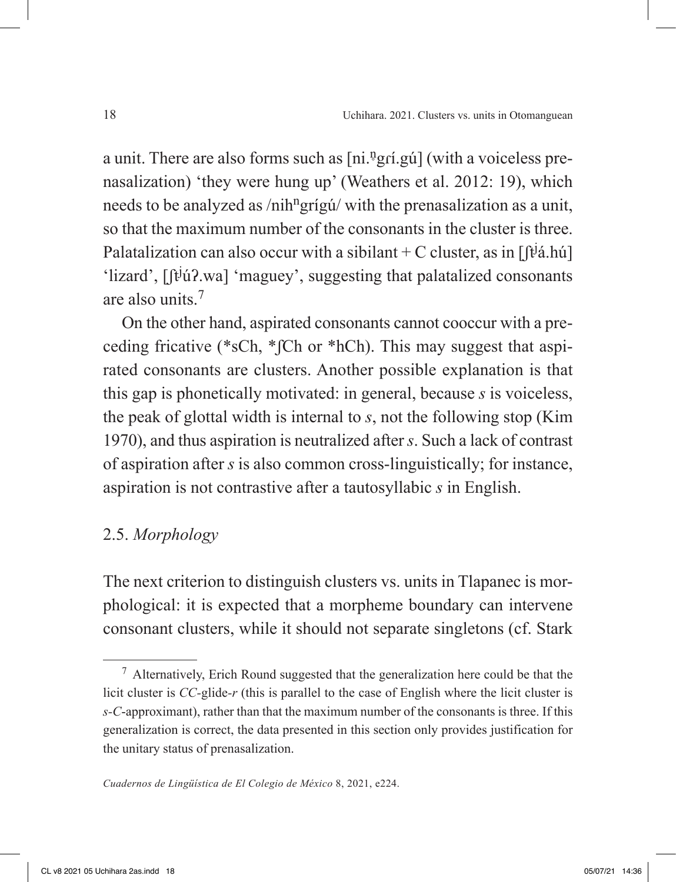a unit. There are also forms such as [ni.<sup>n</sup>grí.gú] (with a voiceless prenasalization) 'they were hung up' (Weathers et al. 2012: 19), which needs to be analyzed as /nih<sup>n</sup>grígú/ with the prenasalization as a unit, so that the maximum number of the consonants in the cluster is three. Palatalization can also occur with a sibilant + C cluster, as in  $[ft^{\dagger}a, h\acute{u}]$ 'lizard', [ʃt<sup>j</sup> úʔ.wa] 'maguey', suggesting that palatalized consonants are also units  $<sup>7</sup>$ </sup>

On the other hand, aspirated consonants cannot cooccur with a preceding fricative (\*sCh, \*ʃCh or \*hCh). This may suggest that aspirated consonants are clusters. Another possible explanation is that this gap is phonetically motivated: in general, because *s* is voiceless, the peak of glottal width is internal to *s*, not the following stop (Kim 1970), and thus aspiration is neutralized after *s*. Such a lack of contrast of aspiration after *s* is also common cross-linguistically; for instance, aspiration is not contrastive after a tautosyllabic *s* in English.

# 2.5. *Morphology*

The next criterion to distinguish clusters vs. units in Tlapanec is morphological: it is expected that a morpheme boundary can intervene consonant clusters, while it should not separate singletons (cf. Stark

<sup>7</sup> Alternatively, Erich Round suggested that the generalization here could be that the licit cluster is *CC-*glide*-r* (this is parallel to the case of English where the licit cluster is *s-C*-approximant), rather than that the maximum number of the consonants is three. If this generalization is correct, the data presented in this section only provides justification for the unitary status of prenasalization.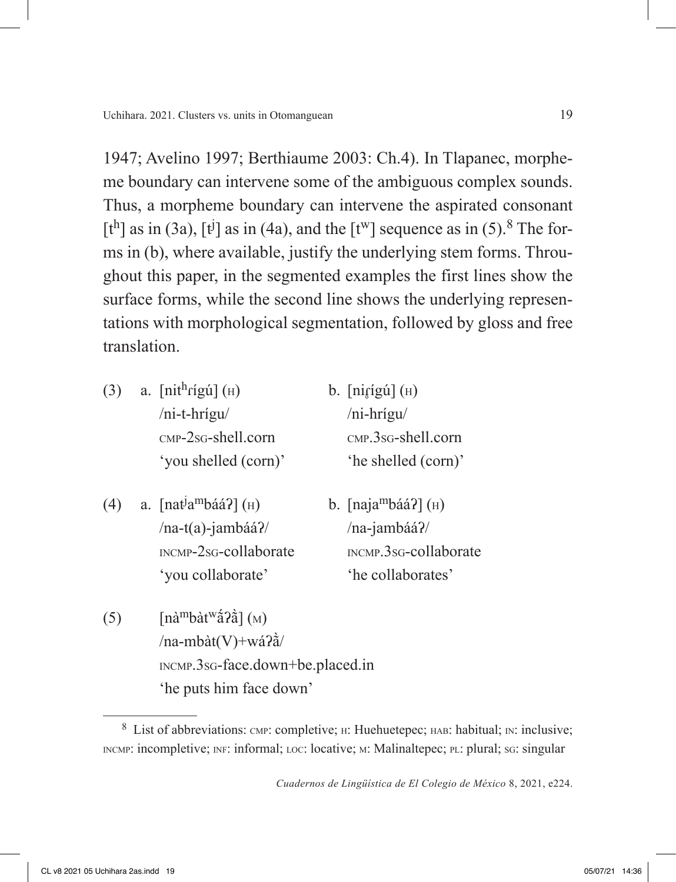1947; Avelino 1997; Berthiaume 2003: Ch.4). In Tlapanec, morpheme boundary can intervene some of the ambiguous complex sounds. Thus, a morpheme boundary can intervene the aspirated consonant [t<sup>h</sup>] as in (3a), [t<sup>j</sup>] as in (4a), and the [t<sup>w</sup>] sequence as in (5).<sup>8</sup> The forms in (b), where available, justify the underlying stem forms. Throughout this paper, in the segmented examples the first lines show the surface forms, while the second line shows the underlying representations with morphological segmentation, followed by gloss and free translation.

- (3) a.  $\left[\text{nit}^{\text{h}}\right]$  (H) b.  $\left[\text{ni}^{\text{t}}\right]$  (H) /ni-t-hrígu/ /ni-hrígu/ cmp-2sg-shell.corn cmp.3sg-shell.corn 'you shelled (corn)' 'he shelled (corn)'
	-
- (4) a.  $[nat<sup>j</sup>a<sup>m</sup>báá?](H)$  $/na-t(a)$ -jambáá?/ /na-jambáá?/ incmp-2sg-collaborate incmp.3sg-collaborate 'you collaborate' 'he collaborates'
	- b.  $[naja<sup>mb</sup>áá?] (H)$
- (5)  $\left[\text{na}^{\text{m}}\text{b}\text{a}^{\text{w}}\text{a}^{\text{z}}\text{c}\right](\text{M})$ /na-mbàt(V)+wáʔã̀/ incmp.3sg-face.down+be.placed.in 'he puts him face down'

<sup>&</sup>lt;sup>8</sup> List of abbreviations: смр: completive; н: Huehuetepec; нав: habitual; ім: inclusive; INCMP: incompletive; INF: informal; Loc: locative; M: Malinaltepec; PL: plural; SG: singular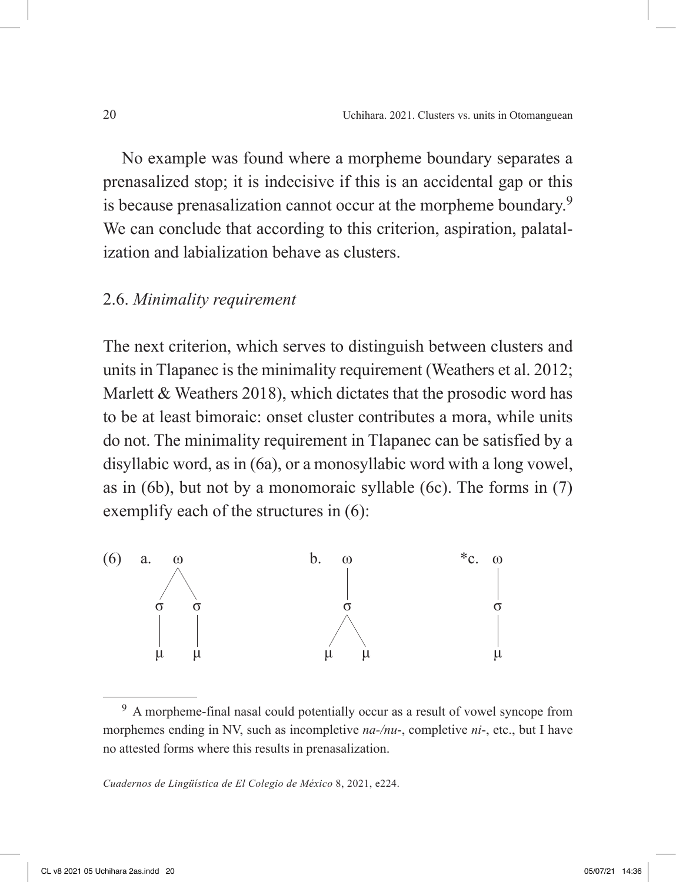No example was found where a morpheme boundary separates a prenasalized stop; it is indecisive if this is an accidental gap or this is because prenasalization cannot occur at the morpheme boundary.<sup>9</sup> We can conclude that according to this criterion, aspiration, palatalization and labialization behave as clusters.

#### 2.6. *Minimality requirement*

The next criterion, which serves to distinguish between clusters and units in Tlapanec is the minimality requirement (Weathers et al. 2012; Marlett & Weathers 2018), which dictates that the prosodic word has to be at least bimoraic: onset cluster contributes a mora, while units do not. The minimality requirement in Tlapanec can be satisfied by a disyllabic word, as in (6a), or a monosyllabic word with a long vowel, as in (6b), but not by a monomoraic syllable (6c). The forms in (7) exemplify each of the structures in (6):



<sup>9</sup> A morpheme-final nasal could potentially occur as a result of vowel syncope from morphemes ending in NV, such as incompletive *na-/nu*-, completive *ni*-, etc., but I have no attested forms where this results in prenasalization.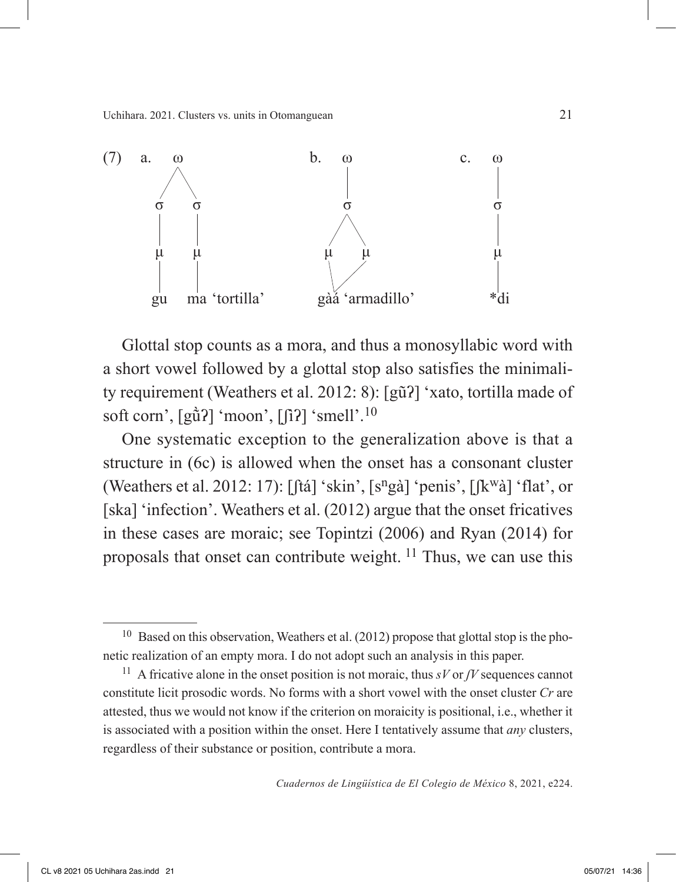Uchihara. 2021. Clusters vs. units in Otomanguean 21



Glottal stop counts as a mora, and thus a monosyllabic word with a short vowel followed by a glottal stop also satisfies the minimality requirement (Weathers et al. 2012: 8): [gũʔ] 'xato, tortilla made of soft corn',  $\left[\frac{\hat{\alpha}}{2}\right]$  'moon',  $\left[\frac{\hat{\alpha}}{2}\right]$  'smell'.<sup>10</sup>

One systematic exception to the generalization above is that a structure in (6c) is allowed when the onset has a consonant cluster (Weathers et al. 2012: 17):  $[ftá]$  'skin',  $[s<sup>n</sup>gà]$  'penis',  $[fk<sup>w</sup>à]$  'flat', or [ska] 'infection'. Weathers et al. (2012) argue that the onset fricatives in these cases are moraic; see Topintzi (2006) and Ryan (2014) for proposals that onset can contribute weight.  $^{11}$  Thus, we can use this

 $10$  Based on this observation, Weathers et al. (2012) propose that glottal stop is the phonetic realization of an empty mora. I do not adopt such an analysis in this paper.

<sup>&</sup>lt;sup>11</sup> A fricative alone in the onset position is not moraic, thus  $sV$  or *JV* sequences cannot constitute licit prosodic words. No forms with a short vowel with the onset cluster *Cr* are attested, thus we would not know if the criterion on moraicity is positional, i.e., whether it is associated with a position within the onset. Here I tentatively assume that *any* clusters, regardless of their substance or position, contribute a mora.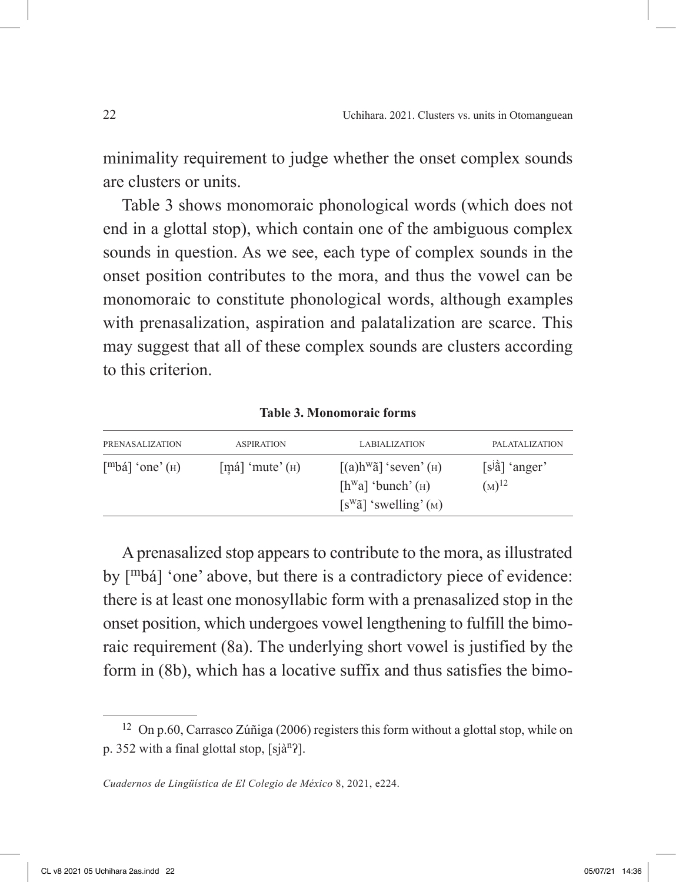minimality requirement to judge whether the onset complex sounds are clusters or units.

Table 3 shows monomoraic phonological words (which does not end in a glottal stop), which contain one of the ambiguous complex sounds in question. As we see, each type of complex sounds in the onset position contributes to the mora, and thus the vowel can be monomoraic to constitute phonological words, although examples with prenasalization, aspiration and palatalization are scarce. This may suggest that all of these complex sounds are clusters according to this criterion.

**Table 3. Monomoraic forms**

| PRENASALIZATION                             | <b>ASPIRATION</b>                            | <b>LABIALIZATION</b>                                                                                                                         | PALATALIZATION                         |
|---------------------------------------------|----------------------------------------------|----------------------------------------------------------------------------------------------------------------------------------------------|----------------------------------------|
| $\lceil m \cdot b \land a \rceil$ 'one' (H) | $\lfloor$ má $\rfloor$ 'mute' $\binom{H}{H}$ | $\left[$ (a)h <sup>w</sup> $\tilde{a}$ ] 'seven'( $\text{H}$ )<br>$[hwa]$ 'bunch' ( $\text{H}$ )<br>$[s^{\text{w}}\tilde{a}]$ 'swelling' (M) | $[s^{j}\hat{a}]$ 'anger'<br>$(M)^{12}$ |

A prenasalized stop appears to contribute to the mora, as illustrated by [mbá] 'one' above, but there is a contradictory piece of evidence: there is at least one monosyllabic form with a prenasalized stop in the onset position, which undergoes vowel lengthening to fulfill the bimoraic requirement (8a). The underlying short vowel is justified by the form in (8b), which has a locative suffix and thus satisfies the bimo-

<sup>12</sup> On p.60, Carrasco Zúñiga (2006) registers this form without a glottal stop, while on p. 352 with a final glottal stop, [sjànʔ].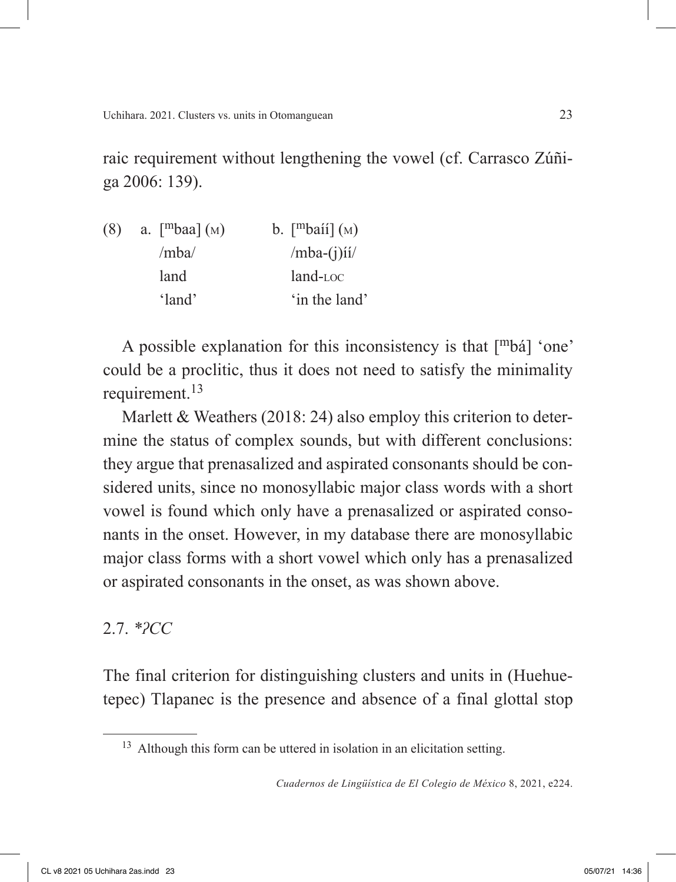raic requirement without lengthening the vowel (cf. Carrasco Zúñiga 2006: 139).

| (8) | a. $\lceil m \cdot \rceil$ (M) | b. $[mbai] (M)$ |
|-----|--------------------------------|-----------------|
|     | /mba/                          | $/mba-(i)ii/$   |
|     | land                           | $land$ - $loc$  |
|     | 'land'                         | 'in the land'   |

A possible explanation for this inconsistency is that  $[\text{m}b\dot{a}]$  'one' could be a proclitic, thus it does not need to satisfy the minimality requirement.<sup>13</sup>

Marlett & Weathers (2018: 24) also employ this criterion to determine the status of complex sounds, but with different conclusions: they argue that prenasalized and aspirated consonants should be considered units, since no monosyllabic major class words with a short vowel is found which only have a prenasalized or aspirated consonants in the onset. However, in my database there are monosyllabic major class forms with a short vowel which only has a prenasalized or aspirated consonants in the onset, as was shown above.

# 2.7. *\*ʔCC*

The final criterion for distinguishing clusters and units in (Huehuetepec) Tlapanec is the presence and absence of a final glottal stop

<sup>&</sup>lt;sup>13</sup> Although this form can be uttered in isolation in an elicitation setting.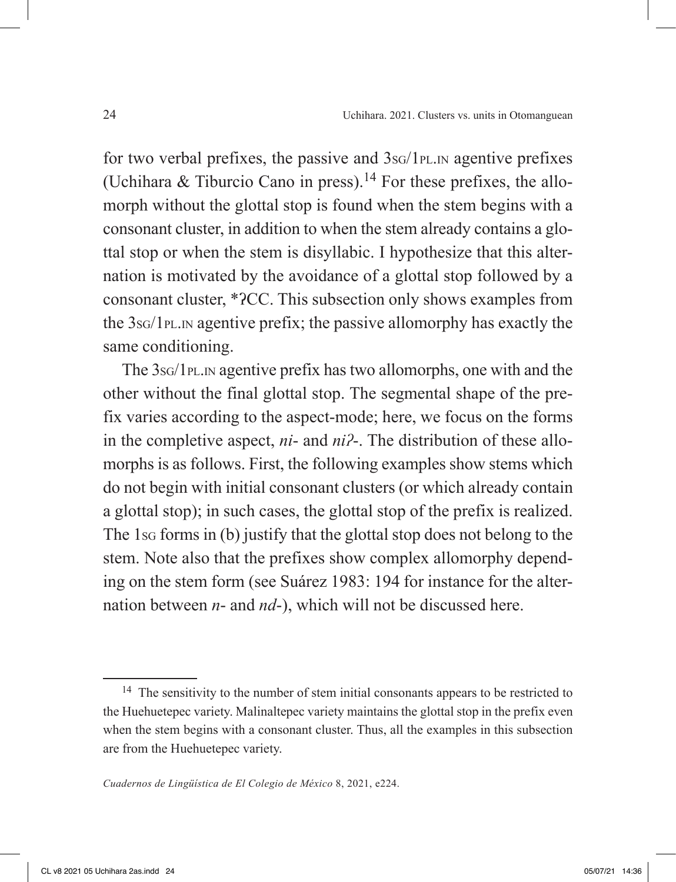for two verbal prefixes, the passive and  $3s<sub>G</sub>/1p<sub>L,IN</sub>$  agentive prefixes (Uchihara  $\&$  Tiburcio Cano in press).<sup>14</sup> For these prefixes, the allomorph without the glottal stop is found when the stem begins with a consonant cluster, in addition to when the stem already contains a glottal stop or when the stem is disyllabic. I hypothesize that this alternation is motivated by the avoidance of a glottal stop followed by a consonant cluster, \*ʔCC. This subsection only shows examples from the 3sg/1<sub>PL.IN</sub> agentive prefix; the passive allomorphy has exactly the same conditioning.

The 3s<sub>G</sub>/1<sub>PL</sub>, n agentive prefix has two allomorphs, one with and the other without the final glottal stop. The segmental shape of the prefix varies according to the aspect-mode; here, we focus on the forms in the completive aspect, *ni*- and *niʔ*-. The distribution of these allomorphs is as follows. First, the following examples show stems which do not begin with initial consonant clusters (or which already contain a glottal stop); in such cases, the glottal stop of the prefix is realized. The 1sg forms in (b) justify that the glottal stop does not belong to the stem. Note also that the prefixes show complex allomorphy depending on the stem form (see Suárez 1983: 194 for instance for the alternation between *n*- and *nd*-), which will not be discussed here.

<sup>&</sup>lt;sup>14</sup> The sensitivity to the number of stem initial consonants appears to be restricted to the Huehuetepec variety. Malinaltepec variety maintains the glottal stop in the prefix even when the stem begins with a consonant cluster. Thus, all the examples in this subsection are from the Huehuetepec variety.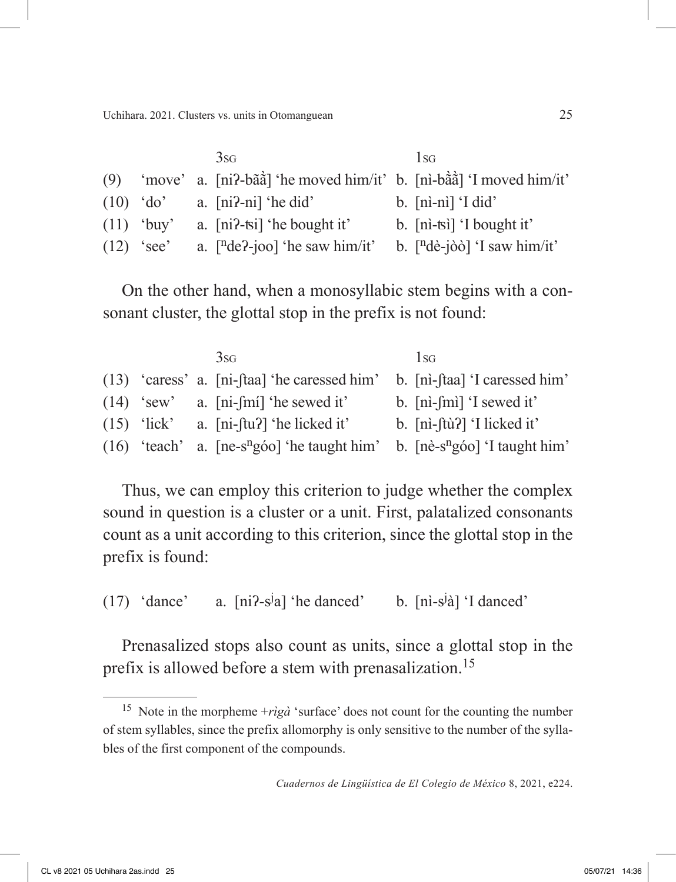|              | 3s <sub>G</sub>                                                                                        | $1_{SG}$                    |
|--------------|--------------------------------------------------------------------------------------------------------|-----------------------------|
|              | (9) 'move' a. [ni?-b $\hat{a}\hat{a}$ ] 'he moved him/it' b. [ni-b $\hat{a}\hat{a}$ ] 'I moved him/it' |                             |
|              | $(10)$ 'do' a. [ni?-ni] 'he did'                                                                       | $b.$ [ni-ni] $\dot{1}$ did' |
| $(11)$ 'buy' | a. $[ni$ -tsi 'he bought it'                                                                           | b. $[ni-tsi]$ I bought it'  |
| $(12)$ 'see' | a. $[{}^n$ de?-joo] 'he saw him/it' b. $[{}^n$ dè-jòò] 'I saw him/it'                                  |                             |

On the other hand, when a monosyllabic stem begins with a consonant cluster, the glottal stop in the prefix is not found:

|  | 3s <sub>G</sub>                                                                                     | 1 <sub>SG</sub>             |
|--|-----------------------------------------------------------------------------------------------------|-----------------------------|
|  | (13) 'caress' a. [ni-ftaa] 'he caressed him' b. [ni-ftaa] 'I caressed him'                          |                             |
|  | $(14)$ 'sew' a. [ni-[mi] 'he sewed it'                                                              | b. $[ni-fmi]'$ sewed it'    |
|  | $(15)$ 'lick' a. [ni-ftu?] 'he licked it'                                                           | b. $[ni-fti]$ 'I licked it' |
|  | $(16)$ 'teach' a. [ne-s <sup>n</sup> góo] 'he taught him' b. [nè-s <sup>n</sup> góo] 'I taught him' |                             |

Thus, we can employ this criterion to judge whether the complex sound in question is a cluster or a unit. First, palatalized consonants count as a unit according to this criterion, since the glottal stop in the prefix is found:

 $(17)$  'dance' a] 'he danced' b. [nì-s<sup>j</sup>à] 'I danced'

Prenasalized stops also count as units, since a glottal stop in the prefix is allowed before a stem with prenasalization.15

<sup>&</sup>lt;sup>15</sup> Note in the morpheme  $+r\dot{q}\dot{a}$  'surface' does not count for the counting the number of stem syllables, since the prefix allomorphy is only sensitive to the number of the syllables of the first component of the compounds.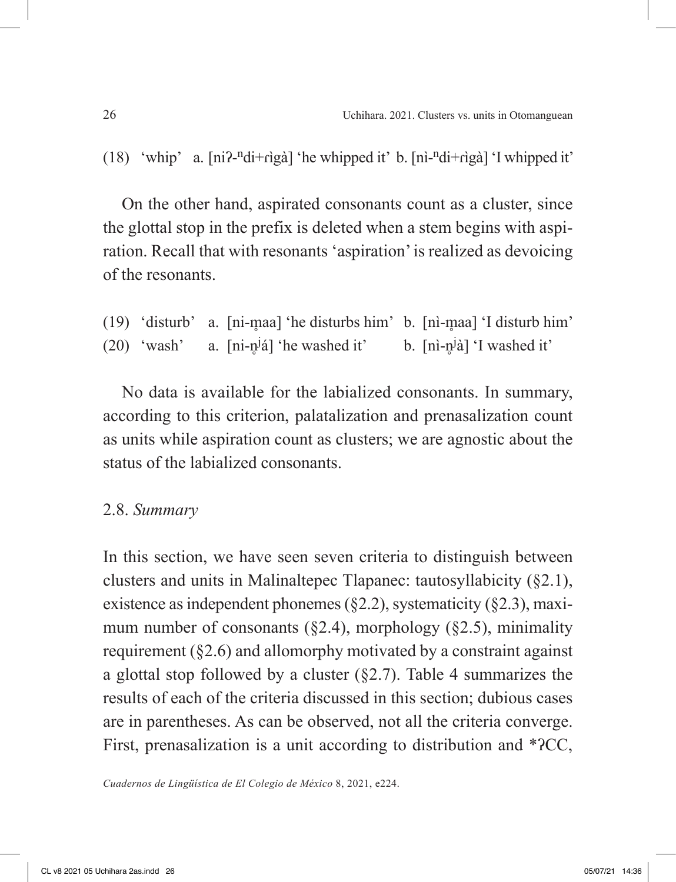(18) 'whip' a.  $\left[\text{ni2-ndi}+\text{riga}\right]$  'he whipped it' b.  $\left[\text{ni-ndi}+\text{riga}\right]$  'I whipped it'

On the other hand, aspirated consonants count as a cluster, since the glottal stop in the prefix is deleted when a stem begins with aspiration. Recall that with resonants 'aspiration' is realized as devoicing of the resonants.

(19) 'disturb' a. [ni-m̥ aa] 'he disturbs him' b. [nì-m̥ aa] 'I disturb him'  $(20)$  'wash' <sup>j</sup>á] 'he washed it' b. [nì-n̥ <sup>j</sup>à] 'I washed it'

No data is available for the labialized consonants. In summary, according to this criterion, palatalization and prenasalization count as units while aspiration count as clusters; we are agnostic about the status of the labialized consonants.

### 2.8. *Summary*

In this section, we have seen seven criteria to distinguish between clusters and units in Malinaltepec Tlapanec: tautosyllabicity (§2.1), existence as independent phonemes  $(\S2.2)$ , systematicity  $(\S2.3)$ , maximum number of consonants  $(\S2.4)$ , morphology  $(\S2.5)$ , minimality requirement (§2.6) and allomorphy motivated by a constraint against a glottal stop followed by a cluster  $(\S2.7)$ . Table 4 summarizes the results of each of the criteria discussed in this section; dubious cases are in parentheses. As can be observed, not all the criteria converge. First, prenasalization is a unit according to distribution and \*ʔCC,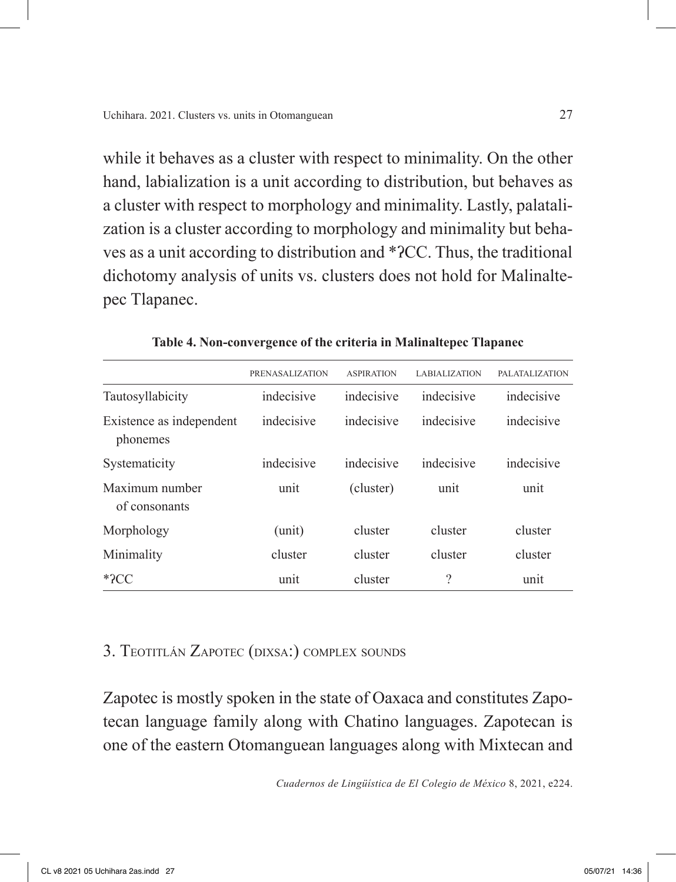while it behaves as a cluster with respect to minimality. On the other hand, labialization is a unit according to distribution, but behaves as a cluster with respect to morphology and minimality. Lastly, palatalization is a cluster according to morphology and minimality but behaves as a unit according to distribution and \*ʔCC. Thus, the traditional dichotomy analysis of units vs. clusters does not hold for Malinaltepec Tlapanec.

|                                      | <b>PRENASALIZATION</b>   | <b>ASPIRATION</b> | <b>LABIALIZATION</b> | <b>PALATALIZATION</b> |
|--------------------------------------|--------------------------|-------------------|----------------------|-----------------------|
| Tautosyllabicity                     | indecisive               | indecisive        | indecisive           | indecisive            |
| Existence as independent<br>phonemes | indecisive<br>indecisive |                   | indecisive           | indecisive            |
| Systematicity                        | indecisive               | indecisive        | indecisive           | indecisive            |
| Maximum number<br>of consonants      | unit                     | (cluster)         | unit                 | unit                  |
| Morphology                           | (unit)                   | cluster           | cluster              | cluster               |
| Minimality                           | cluster                  | cluster           | cluster              | cluster               |
| $*2CC$                               | unit                     | cluster           | ?                    | unit                  |

**Table 4. Non-convergence of the criteria in Malinaltepec Tlapanec**

# 3. Teotitlán Zapotec (dixsa:) complex sounds

Zapotec is mostly spoken in the state of Oaxaca and constitutes Zapotecan language family along with Chatino languages. Zapotecan is one of the eastern Otomanguean languages along with Mixtecan and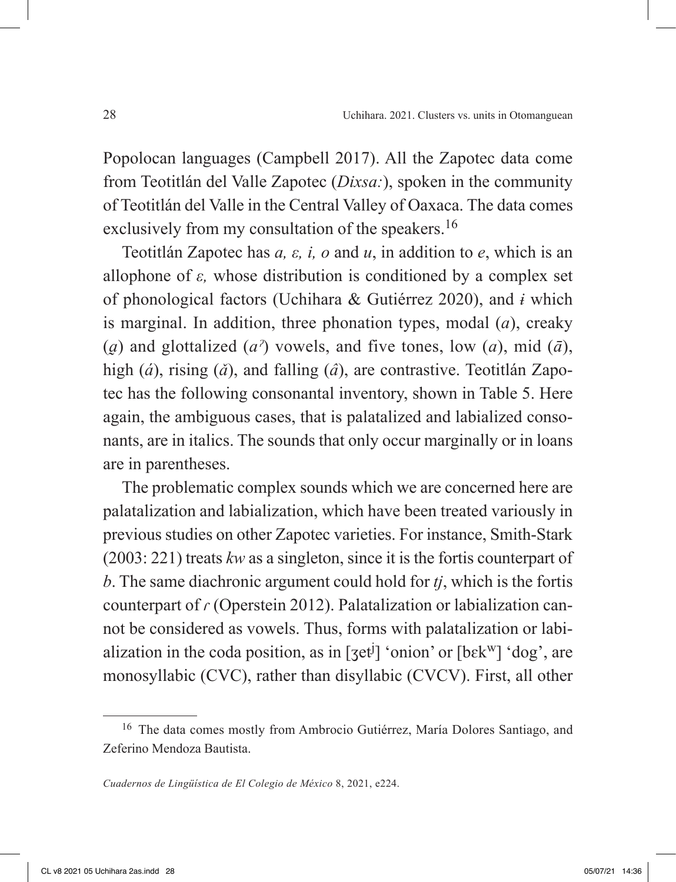Popolocan languages (Campbell 2017). All the Zapotec data come from Teotitlán del Valle Zapotec (*Dixsa:*), spoken in the community of Teotitlán del Valle in the Central Valley of Oaxaca. The data comes exclusively from my consultation of the speakers.<sup>16</sup>

Teotitlán Zapotec has *a, ε, i, o* and *u*, in addition to *e*, which is an allophone of *ε,* whose distribution is conditioned by a complex set of phonological factors (Uchihara & Gutiérrez 2020), and *ɨ* which is marginal. In addition, three phonation types, modal (*a*), creaky (*a*) and glottalized (*a*<sup> $\alpha$ </sup>) vowels, and five tones, low (*a*), mid ( $\bar{a}$ ), high (*á*), rising (*ǎ*), and falling (*â*), are contrastive. Teotitlán Zapotec has the following consonantal inventory, shown in Table 5. Here again, the ambiguous cases, that is palatalized and labialized consonants, are in italics. The sounds that only occur marginally or in loans are in parentheses.

The problematic complex sounds which we are concerned here are palatalization and labialization, which have been treated variously in previous studies on other Zapotec varieties. For instance, Smith-Stark (2003: 221) treats *kw* as a singleton, since it is the fortis counterpart of *b*. The same diachronic argument could hold for *tj*, which is the fortis counterpart of *ɾ* (Operstein 2012). Palatalization or labialization cannot be considered as vowels. Thus, forms with palatalization or labialization in the coda position, as in  $[3et^j]$  'onion' or  $[6ek^w]$  'dog', are monosyllabic (CVC), rather than disyllabic (CVCV). First, all other

<sup>16</sup> The data comes mostly from Ambrocio Gutiérrez, María Dolores Santiago, and Zeferino Mendoza Bautista.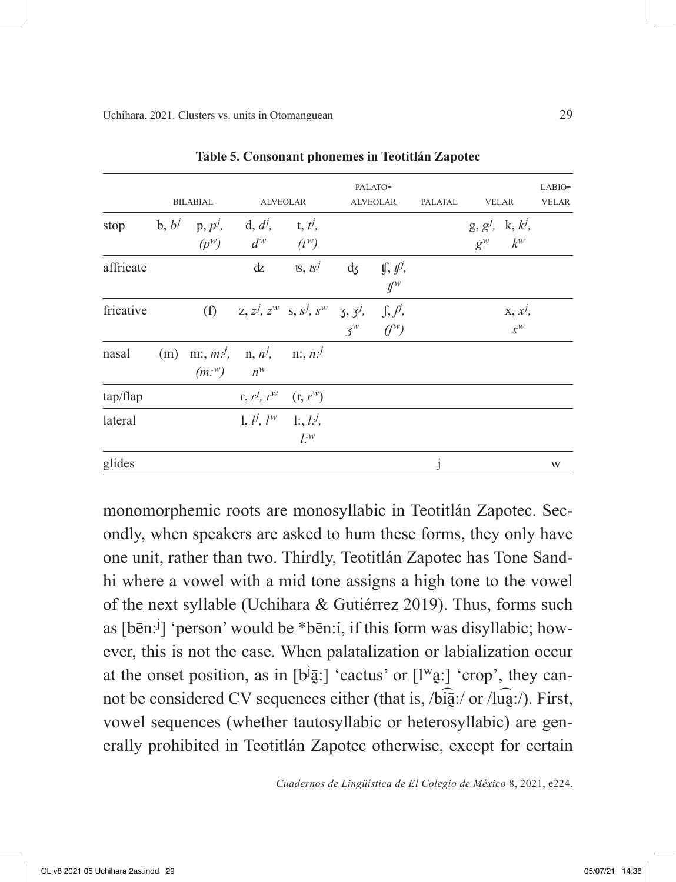|           |     | <b>BILABIAL</b>                                                                          |                                                                          | <b>ALVEOLAR</b>                                                     |    | PALATO-<br><b>ALVEOLAR</b>                    | PALATAL      | <b>VELAR</b>                         | LABIO-<br><b>VELAR</b> |
|-----------|-----|------------------------------------------------------------------------------------------|--------------------------------------------------------------------------|---------------------------------------------------------------------|----|-----------------------------------------------|--------------|--------------------------------------|------------------------|
| stop      |     | b, b <sup>j</sup> p, p <sup>j</sup> , d, d <sup>j</sup> , t, t <sup>j</sup> ,<br>$(p^w)$ | $d^w$                                                                    | $(t^w)$                                                             |    |                                               |              | $g, g^{j}, k, k^{j},$<br>$g^w$ $k^w$ |                        |
| affricate |     |                                                                                          | dz                                                                       | is, $\mathcal{B}^j$                                                 | dz | $\text{if, } \text{f}\text{O},$<br>$\n  Uw\n$ |              |                                      |                        |
| fricative |     |                                                                                          |                                                                          | (f) $z, z^j, z^w$ s, $s^j, s^w$ 3, $3^j, \int$ , $\int$ , $\beta$ , |    | $3^w$ $(y^w)$                                 |              | $X, x^j$<br>$x^w$                    |                        |
| nasal     | (m) | $(m.^w)$ $n^w$                                                                           | m:, $m$ . <sup><i>j</i></sup> , n, $n^j$ , n:, $n$ . <sup><i>j</i></sup> |                                                                     |    |                                               |              |                                      |                        |
| tap/flap  |     |                                                                                          | $f, f^j, f^w \quad (f, f^w)$                                             |                                                                     |    |                                               |              |                                      |                        |
| lateral   |     |                                                                                          | 1, $l^j$ , $l^w$ 1:, $l^j$ ,                                             | $l^{\cdot w}$                                                       |    |                                               |              |                                      |                        |
| glides    |     |                                                                                          |                                                                          |                                                                     |    |                                               | $\mathbf{I}$ |                                      | W                      |

**Table 5. Consonant phonemes in Teotitlán Zapotec**

monomorphemic roots are monosyllabic in Teotitlán Zapotec. Secondly, when speakers are asked to hum these forms, they only have one unit, rather than two. Thirdly, Teotitlán Zapotec has Tone Sandhi where a vowel with a mid tone assigns a high tone to the vowel of the next syllable (Uchihara & Gutiérrez 2019). Thus, forms such as [bēn:<sup>j</sup> ] 'person' would be \*bēn:í, if this form was disyllabic; however, this is not the case. When palatalization or labialization occur at the onset position, as in  $[b^j\overline{a}^j]$  'cactus' or  $[l^w\overline{a}^j]$  'crop', they cannot be considered CV sequences either (that is, /bi $\frac{1}{2}$ :/ or /lu $\frac{1}{2}$ :/). First, vowel sequences (whether tautosyllabic or heterosyllabic) are generally prohibited in Teotitlán Zapotec otherwise, except for certain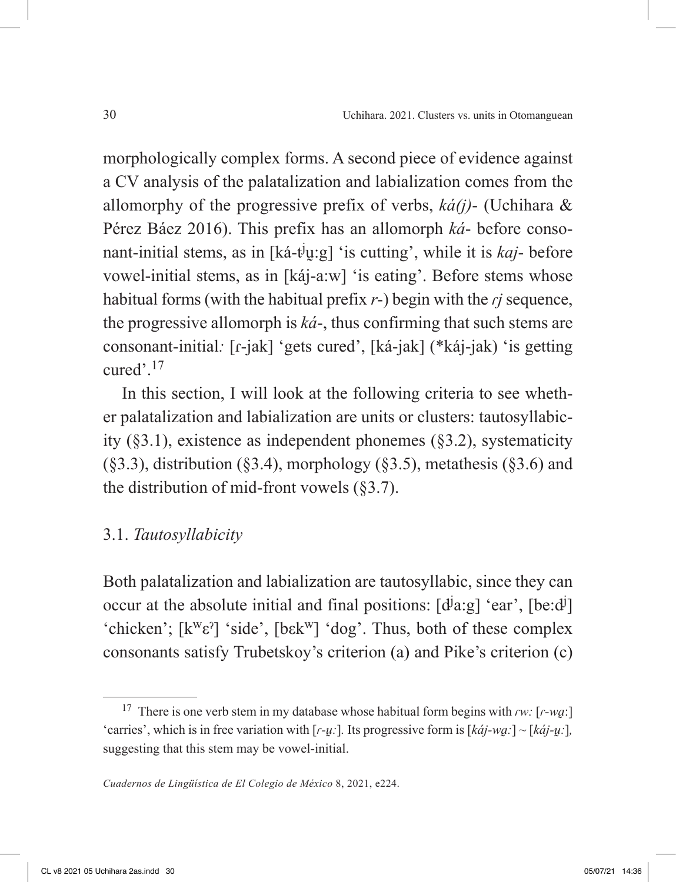morphologically complex forms. A second piece of evidence against a CV analysis of the palatalization and labialization comes from the allomorphy of the progressive prefix of verbs, *ká(j)*- (Uchihara & Pérez Báez 2016). This prefix has an allomorph *ká*- before consonant-initial stems, as in [ká-t<sup>j</sup>y:g] 'is cutting', while it is *kaj*- before vowel-initial stems, as in [káj-a:w] 'is eating'. Before stems whose habitual forms (with the habitual prefix *r*-) begin with the *ɾj* sequence, the progressive allomorph is *ká*-, thus confirming that such stems are consonant-initial*:* [ɾ-jak] 'gets cured', [ká-jak] (\*káj-jak) 'is getting cured' $^{17}$ 

In this section, I will look at the following criteria to see whether palatalization and labialization are units or clusters: tautosyllabicity (§3.1), existence as independent phonemes (§3.2), systematicity  $(\S3.3)$ , distribution  $(\S3.4)$ , morphology  $(\S3.5)$ , metathesis  $(\S3.6)$  and the distribution of mid-front vowels  $(\S 3.7)$ .

# 3.1. *Tautosyllabicity*

Both palatalization and labialization are tautosyllabic, since they can occur at the absolute initial and final positions:  $[d^j a:g]$  'ear',  $[be:d^j]$ 'chicken';  $[k^w \varepsilon']$  'side',  $[b \varepsilon k^w]$  'dog'. Thus, both of these complex consonants satisfy Trubetskoy's criterion (a) and Pike's criterion (c)

<sup>17</sup> There is one verb stem in my database whose habitual form begins with *ɾw:* [*ɾ-wa̰*:] 'carries', which is in free variation with  $[r-u$ :]. Its progressive form is  $[k\dot{a}j-wa$ <sup>-</sup> $] \sim [k\dot{a}j-u$ :], suggesting that this stem may be vowel-initial.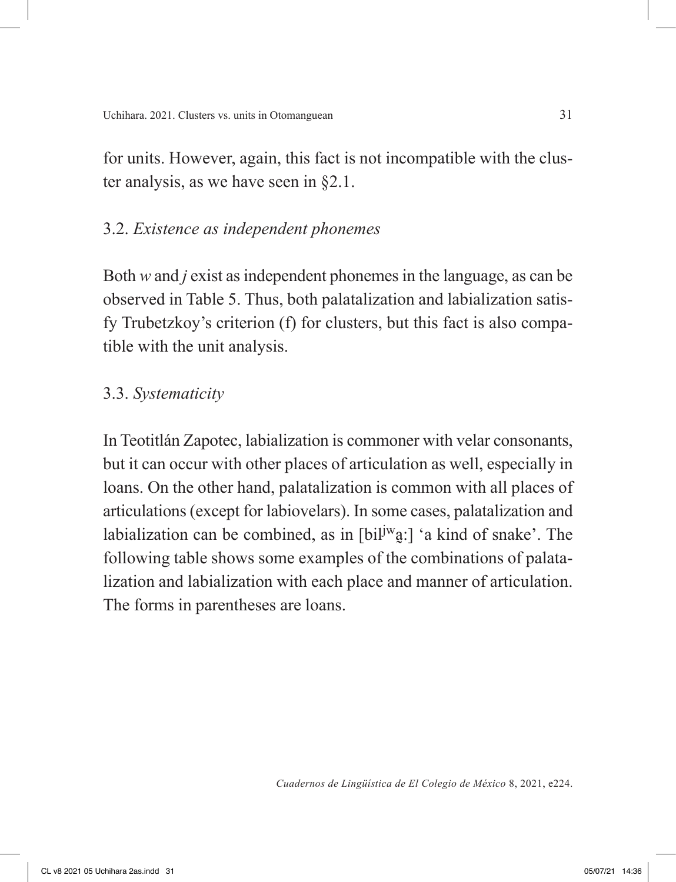for units. However, again, this fact is not incompatible with the cluster analysis, as we have seen in §2.1.

# 3.2. *Existence as independent phonemes*

Both *w* and *j* exist as independent phonemes in the language, as can be observed in Table 5. Thus, both palatalization and labialization satisfy Trubetzkoy's criterion (f) for clusters, but this fact is also compatible with the unit analysis.

# 3.3. *Systematicity*

In Teotitlán Zapotec, labialization is commoner with velar consonants, but it can occur with other places of articulation as well, especially in loans. On the other hand, palatalization is common with all places of articulations (except for labiovelars). In some cases, palatalization and labialization can be combined, as in  $[bi]^{j}$ a:] 'a kind of snake'. The following table shows some examples of the combinations of palatalization and labialization with each place and manner of articulation. The forms in parentheses are loans.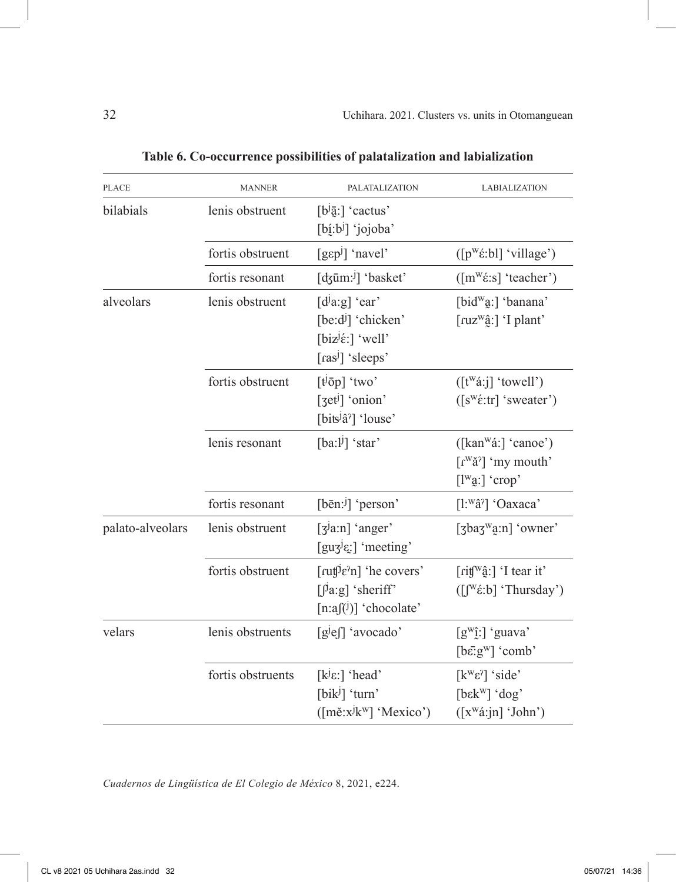| <b>PLACE</b>     | <b>MANNER</b>     | PALATALIZATION                                                                                                        | LABIALIZATION                                                                                                                         |
|------------------|-------------------|-----------------------------------------------------------------------------------------------------------------------|---------------------------------------------------------------------------------------------------------------------------------------|
| bilabials        | lenis obstruent   | $[b^{j}\overline{a}$ : cactus'<br>$[bj:b]$ 'jojoba'                                                                   |                                                                                                                                       |
|                  | fortis obstruent  | $[q\varepsilon p^j]$ 'navel'                                                                                          | $([p^w \land \text{b}])$ 'village')                                                                                                   |
|                  | fortis resonant   | [dzūm: <sup>j</sup> ] 'basket'                                                                                        | $(\lceil m^w \varepsilon : s \rceil$ 'teacher')                                                                                       |
| alveolars        | lenis obstruent   | $[d^j a:g]'$ 'ear'<br>$[be:d]$ 'chicken'<br>[biz $\left[\dot{\epsilon}\right]$ 'well'<br>[ras <sup>j</sup> ] 'sleeps' | [bid <sup>w</sup> a:] 'banana'<br>$\lceil \text{ruz}^{\text{w}}\hat{a}$ : $\rceil$ 'I plant'                                          |
|                  | fortis obstruent  | $[t^{j} \bar{0} p]$ 'two'<br>$[3et^j]$ 'onion'<br>[bits <sup>j</sup> â <sup>?</sup> ] 'louse'                         | ([t <sup>w</sup> á:j] 'towell')<br>$(\lceil s^w \hat{\epsilon} : \text{tr} \rceil \text{ 'sweater'})$                                 |
|                  | lenis resonant    | $[ba:1]$ 'star'                                                                                                       | $([kan^{\mathsf{w}}\acute{a}$ : 'canoe')<br>$\lceil r^{\text{w}}\check{a}^{\text{m}}\rceil$ 'my mouth'<br>$[1^{\mathrm{w}}a:]$ 'crop' |
|                  | fortis resonant   | [bēn: $j$ ] 'person'                                                                                                  | [l: <sup>w</sup> â <sup>?</sup> ] 'Oaxaca'                                                                                            |
| palato-alveolars | lenis obstruent   | $\lceil 3^{\lg n} \rceil$ 'anger'<br>[guz $\left[\text{gug}^{\text{J}}\right]$ 'meeting'                              | $[3\text{bag}^{\text{w}}\text{g}:\text{n}]$ 'owner'                                                                                   |
|                  | fortis obstruent  | [ $ruf^j\varepsilon^n$ ] 'he covers'<br>$[\int a:g]$ 'sheriff'<br>$[n:af(i)]$ 'chocolate'                             | [rit[ <sup>w</sup> ĝ:] 'I tear it'<br>$([[W\&E: b] 'Thusday')$                                                                        |
| velars           | lenis obstruents  | $[gje  ]$ 'avocado'                                                                                                   | $[g^{\text{w}}\hat{j}]$ 'guava'<br>$[bē: gw] 'comb'$                                                                                  |
|                  | fortis obstruents | [ $k^{j}\epsilon$ :] 'head'<br>$[\text{bik}^j]$ 'turn'<br>([měːxʲkʷ] 'Mexico')                                        | $[k^w \varepsilon^2]$ 'side'<br>$[bekw] 'dog'$<br>$([x^w\land :jn]$ 'John')                                                           |

**Table 6. Co-occurrence possibilities of palatalization and labialization**

*Cuadernos de Lingüística de El Colegio de México* 8, 2021, e224.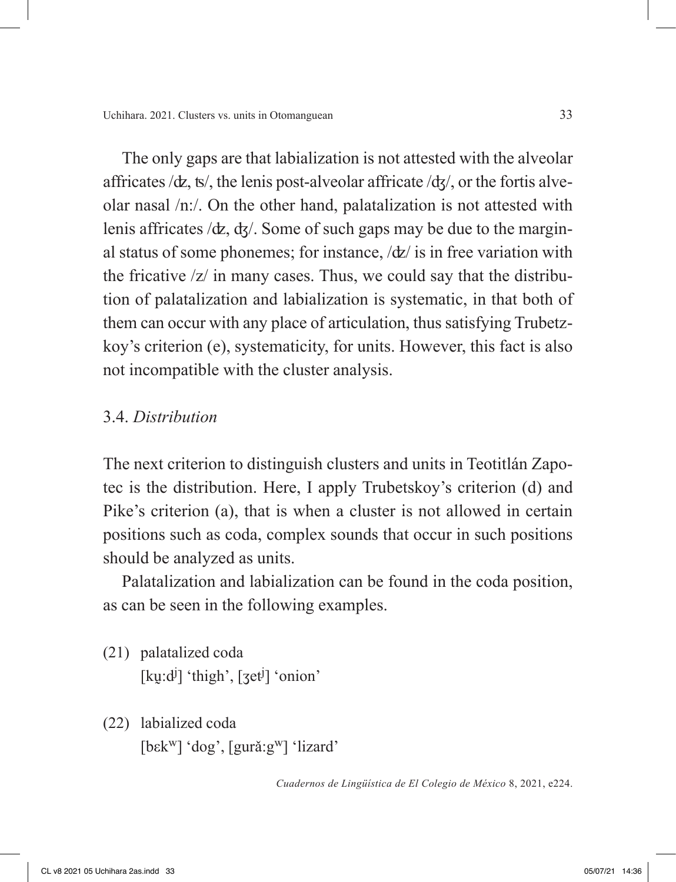The only gaps are that labialization is not attested with the alveolar affricates  $\langle \text{d}z, \text{ts} \rangle$ , the lenis post-alveolar affricate  $\langle \text{d}z \rangle$ , or the fortis alveolar nasal /n:/. On the other hand, palatalization is not attested with lenis affricates /ʣ, ʤ/. Some of such gaps may be due to the marginal status of some phonemes; for instance,  $\langle \frac{dz}{dz} \rangle$  is in free variation with the fricative /z/ in many cases. Thus, we could say that the distribution of palatalization and labialization is systematic, in that both of them can occur with any place of articulation, thus satisfying Trubetzkoy's criterion (e), systematicity, for units. However, this fact is also not incompatible with the cluster analysis.

### 3.4. *Distribution*

The next criterion to distinguish clusters and units in Teotitlán Zapotec is the distribution. Here, I apply Trubetskoy's criterion (d) and Pike's criterion (a), that is when a cluster is not allowed in certain positions such as coda, complex sounds that occur in such positions should be analyzed as units.

Palatalization and labialization can be found in the coda position, as can be seen in the following examples.

- (21) palatalized coda [kuːd<sup>j</sup>] 'thigh', [3et<sup>j</sup>] 'onion'
- (22) labialized coda [bεkw] 'dog', [gurǎ:gw] 'lizard'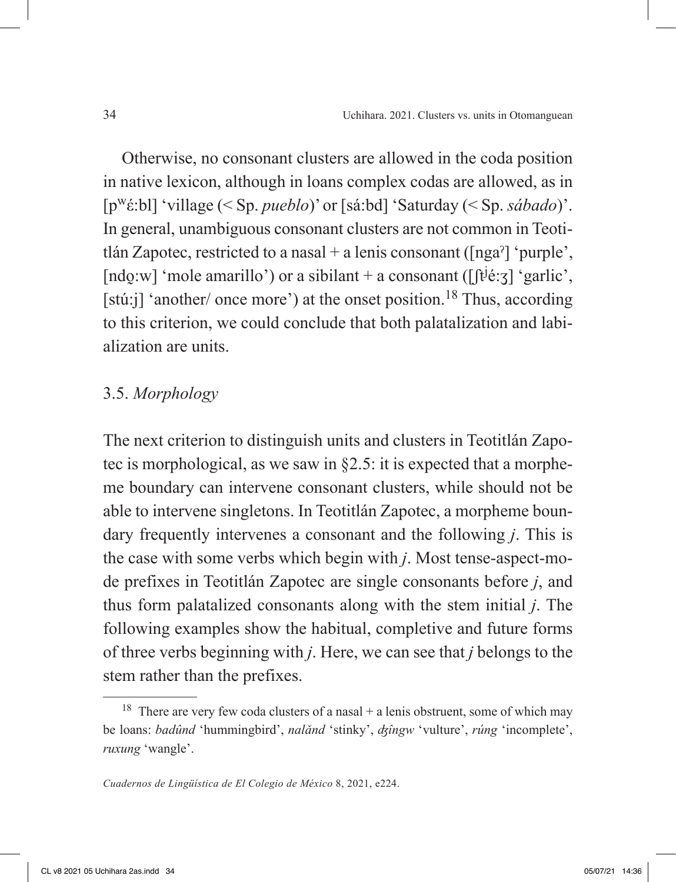Otherwise, no consonant clusters are allowed in the coda position in native lexicon, although in loans complex codas are allowed, as in [pwέ:bl] 'village (< Sp. *pueblo*)' or [sá:bd] 'Saturday (< Sp. *sábado*)'. In general, unambiguous consonant clusters are not common in Teotitlán Zapotec, restricted to a nasal + a lenis consonant ( $\lceil \text{nga}^2 \rceil$  'purple', [ndo̯:w] 'mole amarillo') or a sibilant + a consonant ( $[$ [tʲé:ʒ] 'garlic', [stú:j] 'another/ once more') at the onset position.<sup>18</sup> Thus, according to this criterion, we could conclude that both palatalization and labialization are units.

### 3.5. *Morphology*

The next criterion to distinguish units and clusters in Teotitlán Zapotec is morphological, as we saw in §2.5: it is expected that a morpheme boundary can intervene consonant clusters, while should not be able to intervene singletons. In Teotitlán Zapotec, a morpheme boundary frequently intervenes a consonant and the following *j*. This is the case with some verbs which begin with *j*. Most tense-aspect-mode prefixes in Teotitlán Zapotec are single consonants before *j*, and thus form palatalized consonants along with the stem initial *j*. The following examples show the habitual, completive and future forms of three verbs beginning with *j*. Here, we can see that *j* belongs to the stem rather than the prefixes.

<sup>&</sup>lt;sup>18</sup> There are very few coda clusters of a nasal  $+$  a lenis obstruent, some of which may be loans: *badûnd* 'hummingbird', *nalǎnd* 'stinky', *ʤîngw* 'vulture', *rúng* 'incomplete', *ruxung* 'wangle'.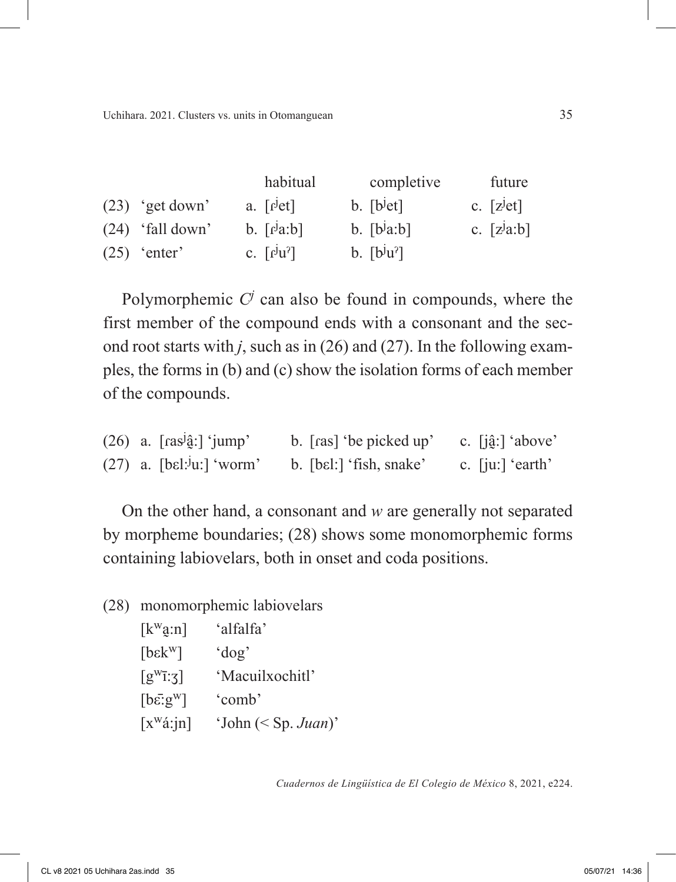|                    | habitual                                         | completive                            | future        |
|--------------------|--------------------------------------------------|---------------------------------------|---------------|
| $(23)$ 'get down'  | a. $\lceil \det \rceil$                          | $b.$ [ $b^{\text{jet}}$ ]             | c. $[zjet]$   |
| $(24)$ 'fall down' | $b. \lceil r^j a:b \rceil$                       | $b.$ [ $b^ja:b$ ]                     | c. $[z^ja:b]$ |
| $(25)$ 'enter'     | c. $\lceil f^{\mathrm{J}} u^{\mathrm{2}} \rceil$ | $b.$ $[b^{\mathrm{J}}u^{\mathrm{s}}]$ |               |

Polymorphemic  $C<sup>j</sup>$  can also be found in compounds, where the first member of the compound ends with a consonant and the second root starts with *j*, such as in (26) and (27). In the following examples, the forms in (b) and (c) show the isolation forms of each member of the compounds.

| $(26)$ a. [ras <sup>j</sup> ĝ:] 'jump'  | b. [ras] 'be picked up' | c. $[i\hat{a}!]$ 'above' |
|-----------------------------------------|-------------------------|--------------------------|
| $(27)$ a. [bɛl: <sup>j</sup> u:] 'worm' | b. [bɛl:] 'fish, snake' | c. $[ju!]$ 'earth'       |

On the other hand, a consonant and *w* are generally not separated by morpheme boundaries; (28) shows some monomorphemic forms containing labiovelars, both in onset and coda positions.

(28) monomorphemic labiovelars

| $[k^{\mathrm{w}}\hat{a}:\eta]$                  | 'alfalfa'             |
|-------------------------------------------------|-----------------------|
| [ <b>b</b> <sub>E</sub> <b>w</b> ]              | $'$ dog'              |
| $[g^{w} \overline{i} \cdot \overline{\xi}]$     | 'Macuilxochitl'       |
| $\lceil b\bar{\epsilon} \cdot g^{\rm w} \rceil$ | 'comb'                |
| $[x^{\text{w}}\acute{a}:jn]$                    | 'John $(<$ Sp. Juan)' |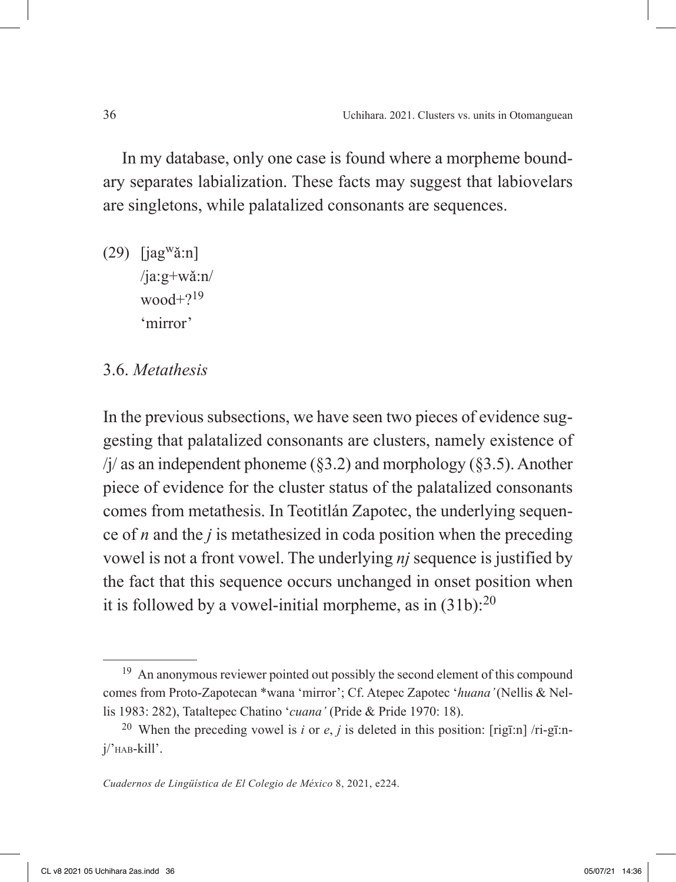In my database, only one case is found where a morpheme boundary separates labialization. These facts may suggest that labiovelars are singletons, while palatalized consonants are sequences.

 $(29)$  [jag<sup>w</sup>ǎ:n] /ja:g+wǎ:n/ wood $+2^{19}$ 'mirror'

# 3.6. *Metathesis*

In the previous subsections, we have seen two pieces of evidence suggesting that palatalized consonants are clusters, namely existence of  $\pi$ /j/ as an independent phoneme (§3.2) and morphology (§3.5). Another piece of evidence for the cluster status of the palatalized consonants comes from metathesis. In Teotitlán Zapotec, the underlying sequence of *n* and the *j* is metathesized in coda position when the preceding vowel is not a front vowel. The underlying *nj* sequence is justified by the fact that this sequence occurs unchanged in onset position when it is followed by a vowel-initial morpheme, as in  $(31b)$ :<sup>20</sup>

<sup>&</sup>lt;sup>19</sup> An anonymous reviewer pointed out possibly the second element of this compound comes from Proto-Zapotecan \*wana 'mirror'; Cf. Atepec Zapotec '*huana'* (Nellis & Nellis 1983: 282), Tataltepec Chatino '*cuana'* (Pride & Pride 1970: 18).

<sup>20</sup> When the preceding vowel is *i* or *e*, *j* is deleted in this position: [rigī:n] /ri-gī:nj/'hab-kill'.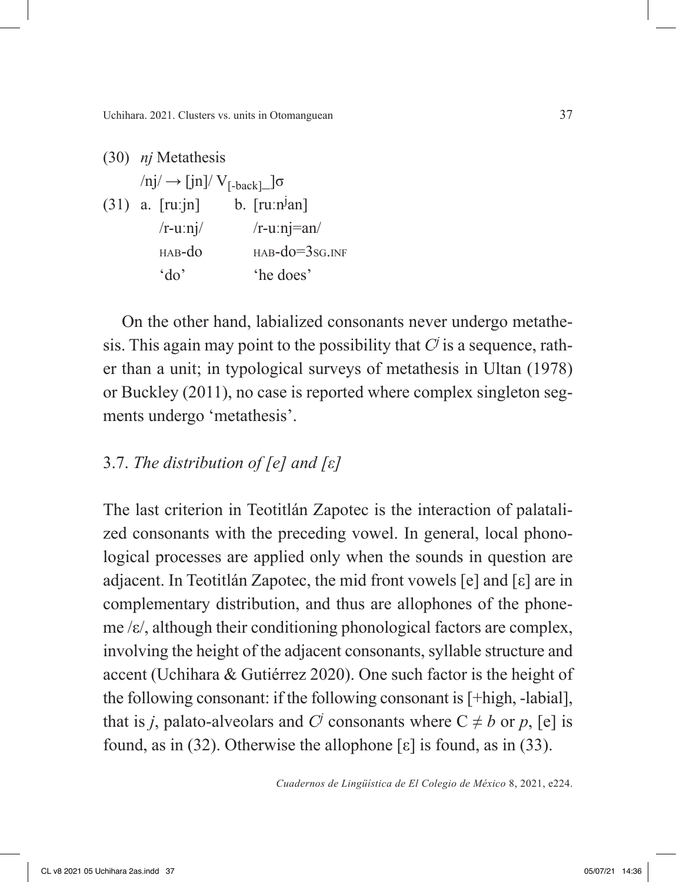Uchihara. 2021. Clusters vs. units in Otomanguean 37

(30) *nj* Metathesis  $\ln j \rightarrow \ln N \cdot V_{[-back]}\sqrt{\sigma}$  $(31)$  a. [ru:jn] b. [ru:n<sup>j</sup>an]  $/r$ -uːnj/  $/r$ -uːnj=an/  $HAB-dO$   $HAB-dO=3sG$  INF 'do' 'he does'

On the other hand, labialized consonants never undergo metathesis. This again may point to the possibility that  $C<sup>j</sup>$  is a sequence, rather than a unit; in typological surveys of metathesis in Ultan (1978) or Buckley (2011), no case is reported where complex singleton segments undergo 'metathesis'.

# 3.7. *The distribution of [e] and [ε]*

The last criterion in Teotitlán Zapotec is the interaction of palatalized consonants with the preceding vowel. In general, local phonological processes are applied only when the sounds in question are adjacent. In Teotitlán Zapotec, the mid front vowels [e] and [ε] are in complementary distribution, and thus are allophones of the phoneme /ε/, although their conditioning phonological factors are complex, involving the height of the adjacent consonants, syllable structure and accent (Uchihara & Gutiérrez 2020). One such factor is the height of the following consonant: if the following consonant is [+high, -labial], that is *j*, palato-alveolars and *C<sup>j</sup>* consonants where  $C \neq b$  or *p*, [e] is found, as in (32). Otherwise the allophone  $\lceil \varepsilon \rceil$  is found, as in (33).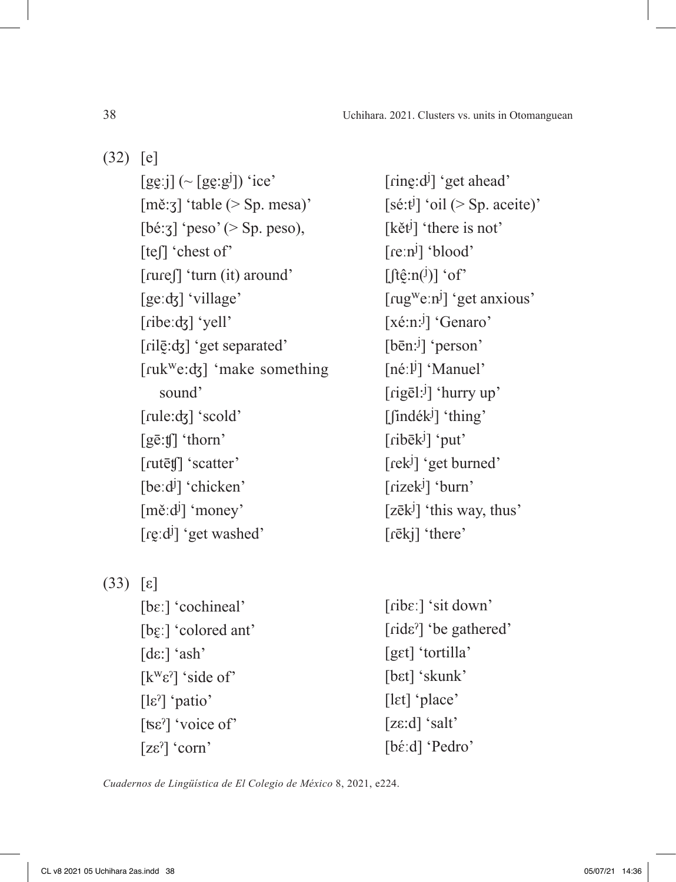(32) [e]

 $[gg:j]$  (~  $[gg:gl]$ ) 'ice' [mě:ʒ] 'table (> Sp. mesa)'  $[bé:z]$  'peso' ( $>$  Sp. peso), [te<sub>[]</sub> 'chest of' [ɾuɾeʃ] 'turn (it) around' [geːʤ] 'village' [ribeːdʒ] 'yell' [rilevel] 'get separated' [ruk<sup>w</sup>e:dʒ] 'make something sound' [rule:<del>d</del>z] 'scold' [gē:ʧ] 'thorn' [rutētf] 'scatter' [beːd<sup>j</sup>] 'chicken' [měːd<sup>j</sup>] 'money' [re̪ːdʲ] 'get washed'

(33) [ε]

[bɛː] 'cochineal' [bɛ̯ː] 'colored ant' [dε:] 'ash' [ $k<sup>w</sup>ε<sup>η</sup>$  'side of' [lεˀ] 'patio' [ʦεˀ] 'voice of' [zεˀ] 'corn'

[ring:d<sup>j</sup>] 'get ahead'  $[s\acute{e}:t\acute{e}]$  'oil (> Sp. aceite)' [kět<sup>j</sup>] 'there is not' [reːn<sup>j</sup>] 'blood'  $[ft\hat{g}:n^{(j)}]$  'of' [rug<sup>w</sup>eːn<sup>j</sup>] 'get anxious' [xé:n:<sup>j</sup>] 'Genaro' [bēn:<sup>j</sup>] 'person' [néːlʲ] 'Manuel' [rigēl:<sup>j</sup>] 'hurry up' [findék<sup>j</sup>] 'thing' [ribēk<sup>j</sup>] 'put' [rek<sup>j</sup>] 'get burned' [rizek<sup>j</sup>] 'burn' [zēk<sup>j</sup>] 'this way, thus' [ɾēkj] 'there'

[ɾibɛː] 'sit down' [ɾidεˀ] 'be gathered' [gɛt] 'tortilla' [bɛt] 'skunk' [lɛt] 'place' [zε:d] 'salt' [bέːd] 'Pedro'

*Cuadernos de Lingüística de El Colegio de México* 8, 2021, e224.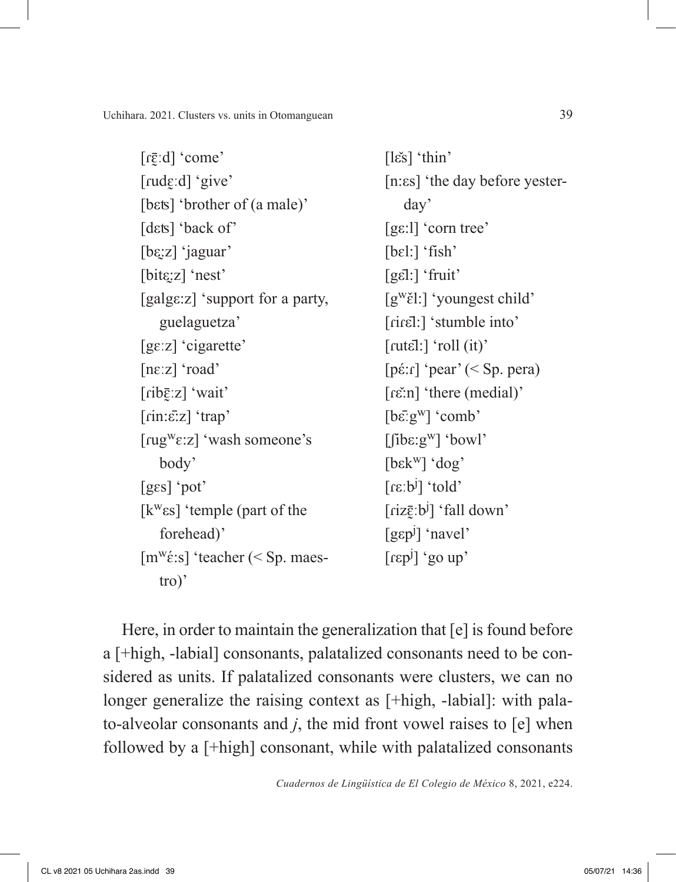Uchihara. 2021. Clusters vs. units in Otomanguean 39

[ɾɛ̰̄ːd] 'come' [rudɛːd] 'give' [bɛts] 'brother of (a male)' [dɛts] 'back of' [bε̯ːz] 'jaguar' [bitε̯:z] 'nest' [galgε:z] 'support for a party, guelaguetza' [gɛːz] 'cigarette' [nɛːz] 'road' [ɾibɛ̰̄ːz] 'wait' [ɾin:ε̄:z] 'trap' [ɾugwɛ:z] 'wash someone's body' [gɛs] 'pot' [kwεs] 'temple (part of the forehead)' [m<sup>w</sup>έ:s] 'teacher (< Sp. maestro)'

[lε̌s] 'thin' [n:εs] 'the day before yesterday' [gε:l] 'corn tree' [bɛl:] 'fish' [gε̄l:] 'fruit' [g<sup>w</sup>ɛ̃l:] 'youngest child' [riret]:] 'stumble into'  $[{\text{rut}}\bar{\epsilon}!]$ : $[\text{roll (it)}']$ [pέ:ɾ] 'pear' (< Sp. pera) [rɛ̌ːn] 'there (medial)'  $[b\bar{\varepsilon}$ 'g<sup>w</sup>] 'comb'  $[\text{fibe:g<sup>w</sup>] 'bow'$ [bεkw] 'dog' [ɾεːb<sup>j</sup> ] 'told' [ɾizɛ̰̄ːb<sup>j</sup> ] 'fall down' [gεp<sup>j</sup> ] 'navel' [ɾεp<sup>j</sup> ] 'go up'

Here, in order to maintain the generalization that [e] is found before a [+high, -labial] consonants, palatalized consonants need to be considered as units. If palatalized consonants were clusters, we can no longer generalize the raising context as  $[+high, -labial]$ : with palato-alveolar consonants and *j*, the mid front vowel raises to [e] when followed by a [+high] consonant, while with palatalized consonants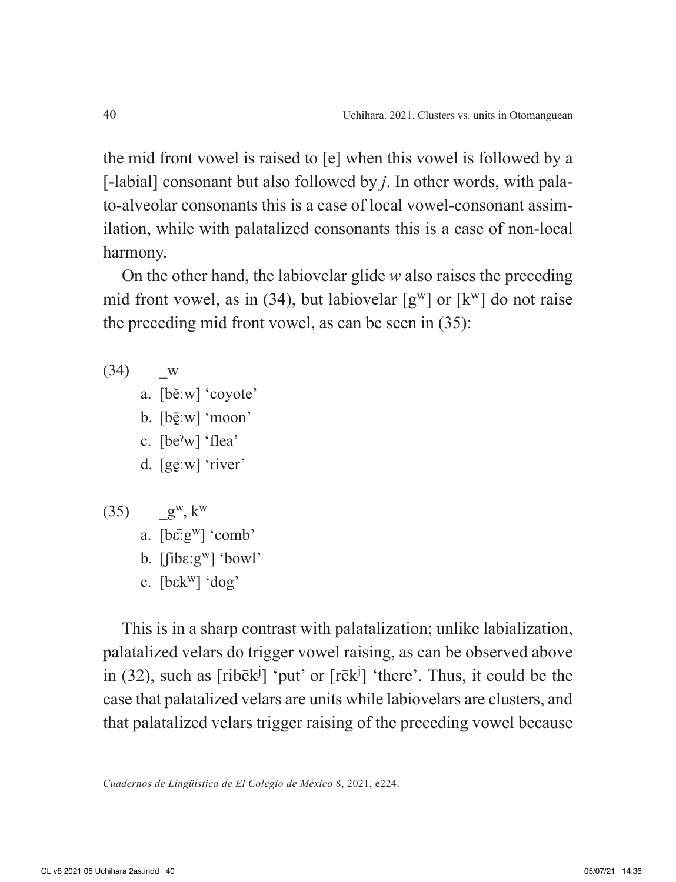the mid front vowel is raised to [e] when this vowel is followed by a [-labial] consonant but also followed by *j*. In other words, with palato-alveolar consonants this is a case of local vowel-consonant assimilation, while with palatalized consonants this is a case of non-local harmony.

On the other hand, the labiovelar glide *w* also raises the preceding mid front vowel, as in (34), but labiovelar  $[g^w]$  or  $[k^w]$  do not raise the preceding mid front vowel, as can be seen in (35):

- $(34)$  w
	- a. [běːw] 'coyote'
	- b. [bēːw] 'moon'
	- c. [beˀw] 'flea'
	- d. [gev] 'river'
- $(35)$  g<sup>w</sup>, k<sup>w</sup> a. [bε̄ːgw] 'comb' b.  $[\text{fibe:g}^{\text{w}}]$  'bowl' c. [bεkw] 'dog'

This is in a sharp contrast with palatalization; unlike labialization, palatalized velars do trigger vowel raising, as can be observed above in (32), such as  $[\text{rib\bar{e}k}^j]$  'put' or  $[\text{r\bar{e}k}^j]$  'there'. Thus, it could be the case that palatalized velars are units while labiovelars are clusters, and that palatalized velars trigger raising of the preceding vowel because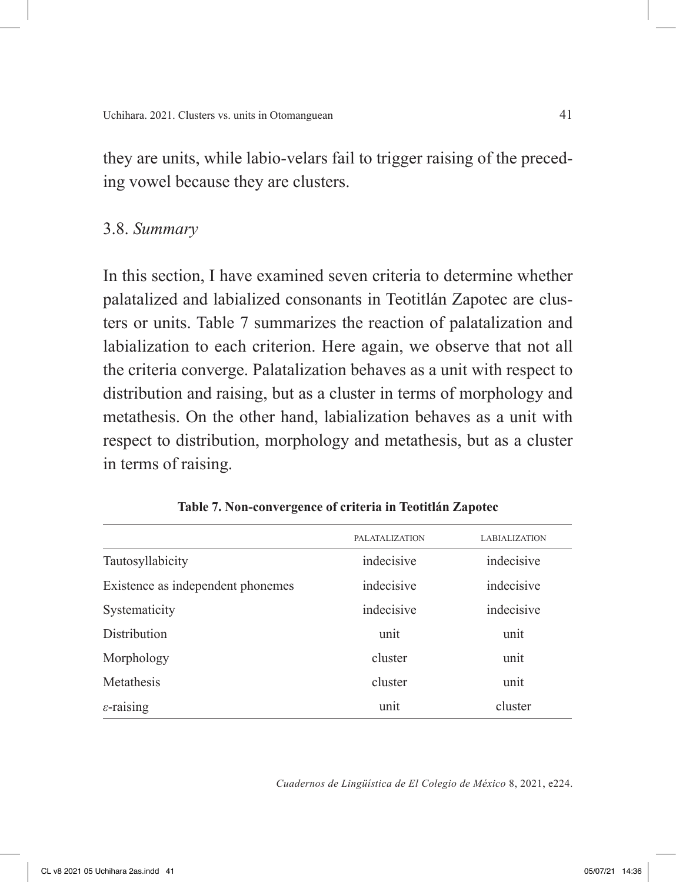they are units, while labio-velars fail to trigger raising of the preceding vowel because they are clusters.

### 3.8. *Summary*

In this section, I have examined seven criteria to determine whether palatalized and labialized consonants in Teotitlán Zapotec are clusters or units. Table 7 summarizes the reaction of palatalization and labialization to each criterion. Here again, we observe that not all the criteria converge. Palatalization behaves as a unit with respect to distribution and raising, but as a cluster in terms of morphology and metathesis. On the other hand, labialization behaves as a unit with respect to distribution, morphology and metathesis, but as a cluster in terms of raising.

|                                   | <b>PALATALIZATION</b> | <b>LABIALIZATION</b> |
|-----------------------------------|-----------------------|----------------------|
| Tautosyllabicity                  | indecisive            | indecisive           |
| Existence as independent phonemes | indecisive            | indecisive           |
| Systematicity                     | indecisive            | indecisive           |
| <b>Distribution</b>               | unit                  | unit                 |
| Morphology                        | cluster               | unit                 |
| Metathesis                        | cluster               | unit                 |
| $\varepsilon$ -raising            | unit                  | cluster              |

**Table 7. Non-convergence of criteria in Teotitlán Zapotec**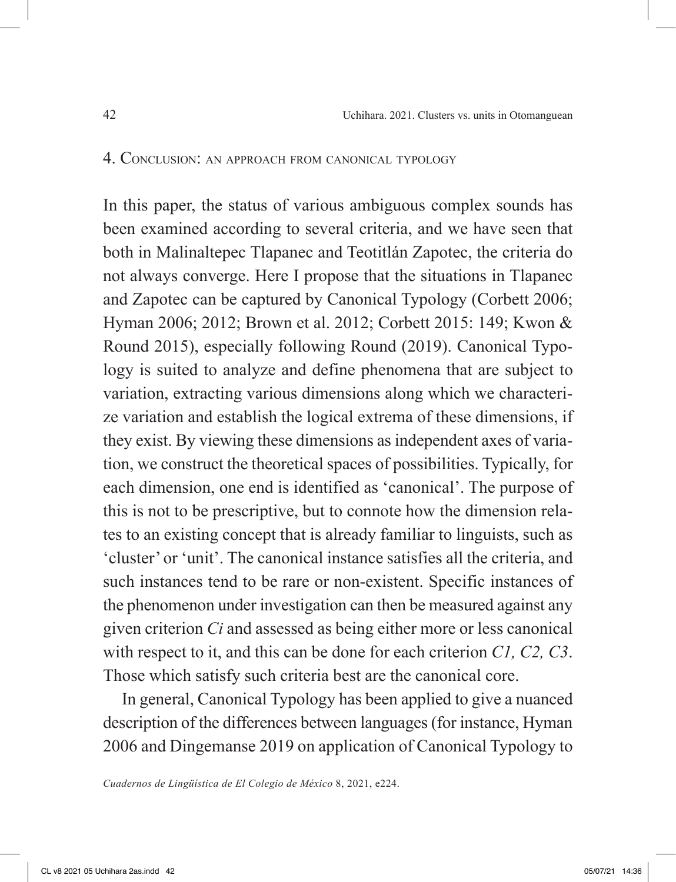#### 4. Conclusion: an approach from canonical typology

In this paper, the status of various ambiguous complex sounds has been examined according to several criteria, and we have seen that both in Malinaltepec Tlapanec and Teotitlán Zapotec, the criteria do not always converge. Here I propose that the situations in Tlapanec and Zapotec can be captured by Canonical Typology (Corbett 2006; Hyman 2006; 2012; Brown et al. 2012; Corbett 2015: 149; Kwon & Round 2015), especially following Round (2019). Canonical Typology is suited to analyze and define phenomena that are subject to variation, extracting various dimensions along which we characterize variation and establish the logical extrema of these dimensions, if they exist. By viewing these dimensions as independent axes of variation, we construct the theoretical spaces of possibilities. Typically, for each dimension, one end is identified as 'canonical'. The purpose of this is not to be prescriptive, but to connote how the dimension relates to an existing concept that is already familiar to linguists, such as 'cluster' or 'unit'. The canonical instance satisfies all the criteria, and such instances tend to be rare or non-existent. Specific instances of the phenomenon under investigation can then be measured against any given criterion *Ci* and assessed as being either more or less canonical with respect to it, and this can be done for each criterion *C1, C2, C3*. Those which satisfy such criteria best are the canonical core.

In general, Canonical Typology has been applied to give a nuanced description of the differences between languages (for instance, Hyman 2006 and Dingemanse 2019 on application of Canonical Typology to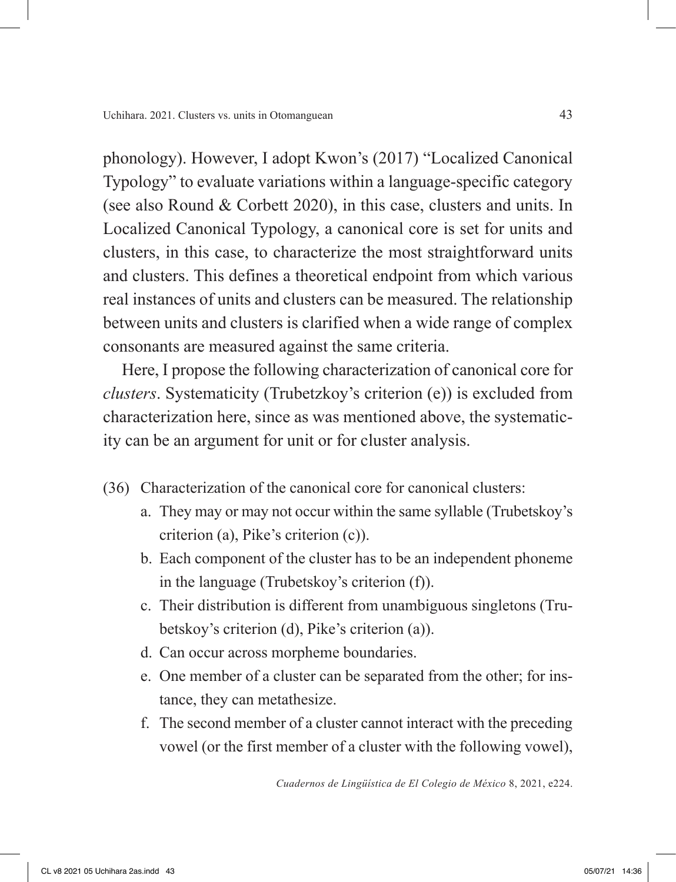phonology). However, I adopt Kwon's (2017) "Localized Canonical Typology" to evaluate variations within a language-specific category (see also Round & Corbett 2020), in this case, clusters and units. In Localized Canonical Typology, a canonical core is set for units and clusters, in this case, to characterize the most straightforward units and clusters. This defines a theoretical endpoint from which various real instances of units and clusters can be measured. The relationship between units and clusters is clarified when a wide range of complex consonants are measured against the same criteria.

Here, I propose the following characterization of canonical core for *clusters*. Systematicity (Trubetzkoy's criterion (e)) is excluded from characterization here, since as was mentioned above, the systematicity can be an argument for unit or for cluster analysis.

- (36) Characterization of the canonical core for canonical clusters:
	- a. They may or may not occur within the same syllable (Trubetskoy's criterion (a), Pike's criterion (c)).
	- b. Each component of the cluster has to be an independent phoneme in the language (Trubetskoy's criterion (f)).
	- c. Their distribution is different from unambiguous singletons (Trubetskoy's criterion (d), Pike's criterion (a)).
	- d. Can occur across morpheme boundaries.
	- e. One member of a cluster can be separated from the other; for instance, they can metathesize.
	- f. The second member of a cluster cannot interact with the preceding vowel (or the first member of a cluster with the following vowel),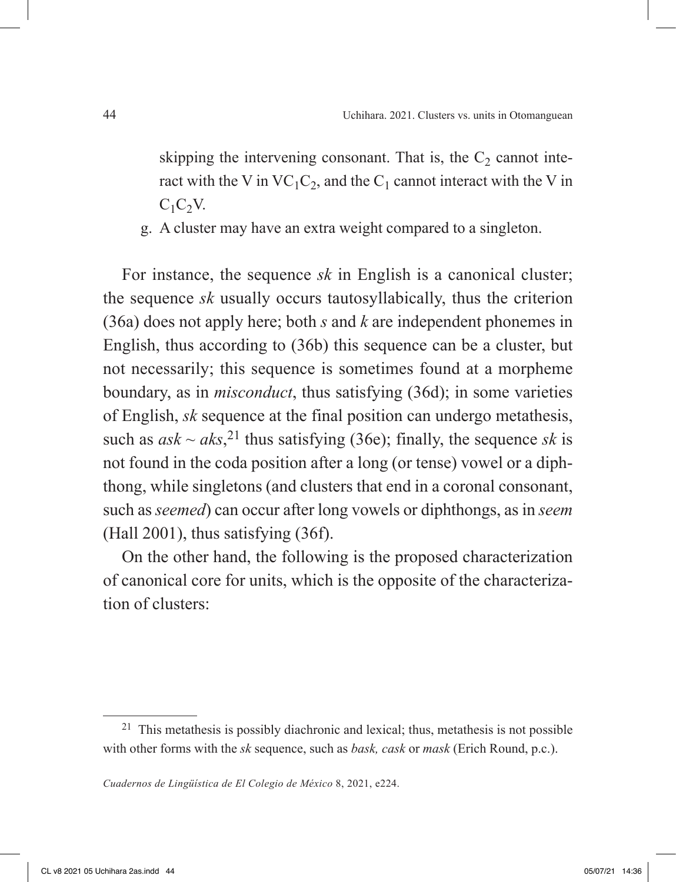skipping the intervening consonant. That is, the  $C<sub>2</sub>$  cannot interact with the V in  $VC_1C_2$ , and the  $C_1$  cannot interact with the V in  $C_1C_2V$ .

g. A cluster may have an extra weight compared to a singleton.

For instance, the sequence *sk* in English is a canonical cluster; the sequence *sk* usually occurs tautosyllabically, thus the criterion (36a) does not apply here; both *s* and *k* are independent phonemes in English, thus according to (36b) this sequence can be a cluster, but not necessarily; this sequence is sometimes found at a morpheme boundary, as in *misconduct*, thus satisfying (36d); in some varieties of English, *sk* sequence at the final position can undergo metathesis, such as  $ask \sim aks$ ,<sup>21</sup> thus satisfying (36e); finally, the sequence *sk* is not found in the coda position after a long (or tense) vowel or a diphthong, while singletons (and clusters that end in a coronal consonant, such as *seemed*) can occur after long vowels or diphthongs, as in *seem* (Hall 2001), thus satisfying (36f).

On the other hand, the following is the proposed characterization of canonical core for units, which is the opposite of the characterization of clusters:

<sup>&</sup>lt;sup>21</sup> This metathesis is possibly diachronic and lexical; thus, metathesis is not possible with other forms with the *sk* sequence, such as *bask, cask* or *mask* (Erich Round, p.c.).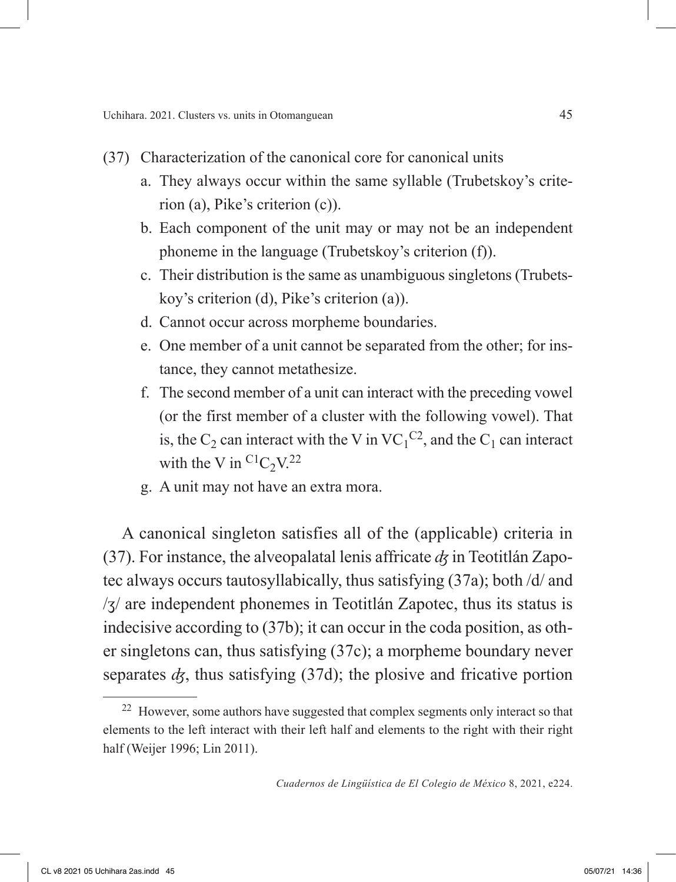- (37) Characterization of the canonical core for canonical units
	- a. They always occur within the same syllable (Trubetskoy's criterion (a), Pike's criterion (c)).
	- b. Each component of the unit may or may not be an independent phoneme in the language (Trubetskoy's criterion (f)).
	- c. Their distribution is the same as unambiguous singletons (Trubetskoy's criterion (d), Pike's criterion (a)).
	- d. Cannot occur across morpheme boundaries.
	- e. One member of a unit cannot be separated from the other; for instance, they cannot metathesize.
	- f. The second member of a unit can interact with the preceding vowel (or the first member of a cluster with the following vowel). That is, the  $C_2$  can interact with the V in  $VC_1^{C_2}$ , and the  $C_1$  can interact with the V in  $C_1C_2V^{22}$
	- g. A unit may not have an extra mora.

A canonical singleton satisfies all of the (applicable) criteria in (37). For instance, the alveopalatal lenis affricate *ʤ* in Teotitlán Zapotec always occurs tautosyllabically, thus satisfying (37a); both /d/ and /ʒ/ are independent phonemes in Teotitlán Zapotec, thus its status is indecisive according to (37b); it can occur in the coda position, as other singletons can, thus satisfying (37c); a morpheme boundary never separates  $d_{\zeta}$ , thus satisfying (37d); the plosive and fricative portion

<sup>&</sup>lt;sup>22</sup> However, some authors have suggested that complex segments only interact so that elements to the left interact with their left half and elements to the right with their right half (Weijer 1996; Lin 2011).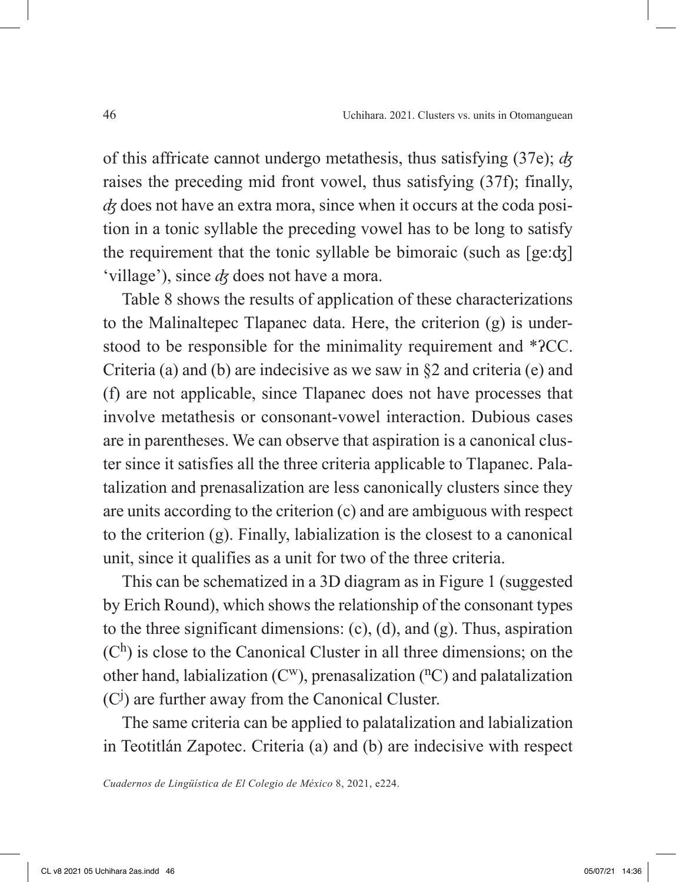of this affricate cannot undergo metathesis, thus satisfying (37e); *ʤ*  raises the preceding mid front vowel, thus satisfying (37f); finally, *ʤ* does not have an extra mora, since when it occurs at the coda position in a tonic syllable the preceding vowel has to be long to satisfy the requirement that the tonic syllable be bimoraic (such as [ge:ʤ] 'village'), since *ʤ* does not have a mora.

Table 8 shows the results of application of these characterizations to the Malinaltepec Tlapanec data. Here, the criterion (g) is understood to be responsible for the minimality requirement and \*ʔCC. Criteria (a) and (b) are indecisive as we saw in §2 and criteria (e) and (f) are not applicable, since Tlapanec does not have processes that involve metathesis or consonant-vowel interaction. Dubious cases are in parentheses. We can observe that aspiration is a canonical cluster since it satisfies all the three criteria applicable to Tlapanec. Palatalization and prenasalization are less canonically clusters since they are units according to the criterion (c) and are ambiguous with respect to the criterion (g). Finally, labialization is the closest to a canonical unit, since it qualifies as a unit for two of the three criteria.

This can be schematized in a 3D diagram as in Figure 1 (suggested by Erich Round), which shows the relationship of the consonant types to the three significant dimensions: (c), (d), and (g). Thus, aspiration  $(C<sup>h</sup>)$  is close to the Canonical Cluster in all three dimensions; on the other hand, labialization  $(C^w)$ , prenasalization  $({}^nC)$  and palatalization (C<sup>j</sup>) are further away from the Canonical Cluster.

The same criteria can be applied to palatalization and labialization in Teotitlán Zapotec. Criteria (a) and (b) are indecisive with respect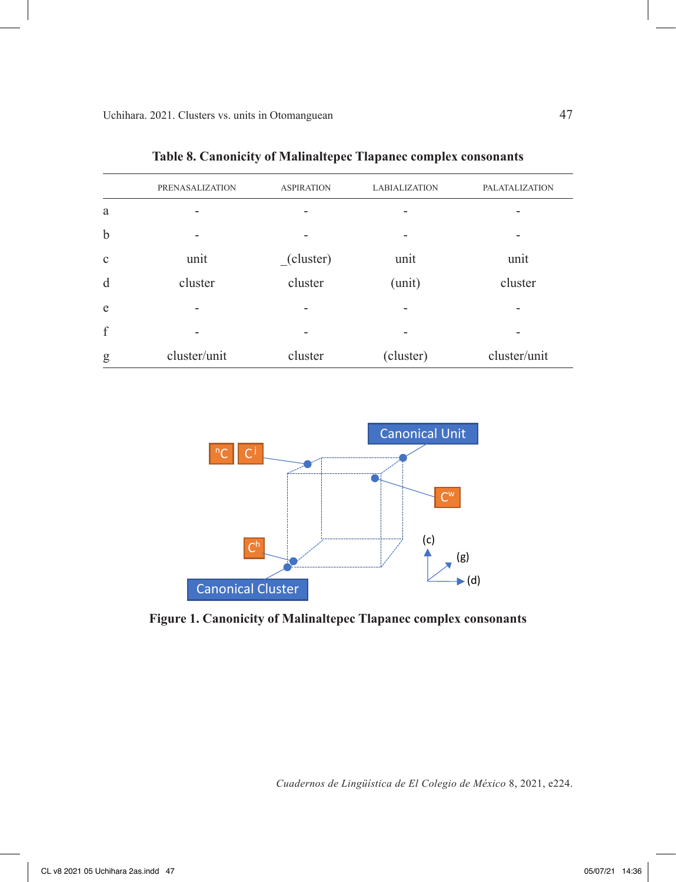|             | <b>PRENASALIZATION</b> | <b>ASPIRATION</b> | <b>LABIALIZATION</b> | <b>PALATALIZATION</b> |
|-------------|------------------------|-------------------|----------------------|-----------------------|
| a           |                        |                   |                      |                       |
| $\mathbf b$ |                        |                   |                      |                       |
| $\mathbf c$ | unit                   | (cluster)         | unit                 | unit                  |
| d           | cluster                | cluster           | (unit)               | cluster               |
| e           |                        |                   |                      |                       |
| f           |                        |                   |                      |                       |
| g           | cluster/unit           | cluster           | (cluster)            | cluster/unit          |

**Table 8. Canonicity of Malinaltepec Tlapanec complex consonants**



**Figure 1. Canonicity of Malinaltepec Tlapanec complex consonants**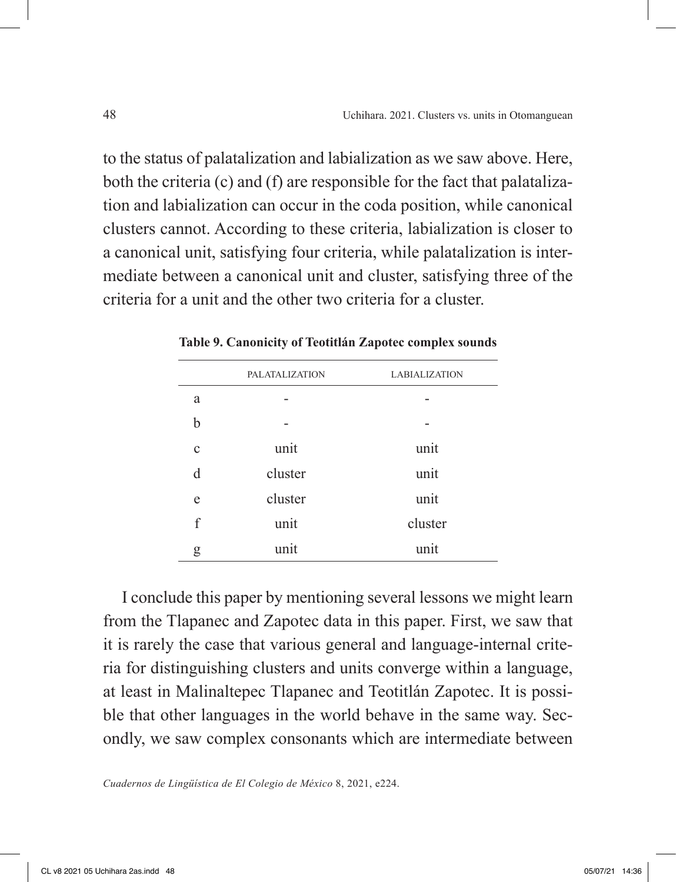to the status of palatalization and labialization as we saw above. Here, both the criteria (c) and (f) are responsible for the fact that palatalization and labialization can occur in the coda position, while canonical clusters cannot. According to these criteria, labialization is closer to a canonical unit, satisfying four criteria, while palatalization is intermediate between a canonical unit and cluster, satisfying three of the criteria for a unit and the other two criteria for a cluster.

|             | <b>PALATALIZATION</b> | <b>LABIALIZATION</b> |
|-------------|-----------------------|----------------------|
| a           |                       |                      |
| b           |                       |                      |
| $\mathbf c$ | unit                  | unit                 |
| d           | cluster               | unit                 |
| e           | cluster               | unit                 |
| f           | unit                  | cluster              |
| g           | unit                  | unit                 |

**Table 9. Canonicity of Teotitlán Zapotec complex sounds**

I conclude this paper by mentioning several lessons we might learn from the Tlapanec and Zapotec data in this paper. First, we saw that it is rarely the case that various general and language-internal criteria for distinguishing clusters and units converge within a language, at least in Malinaltepec Tlapanec and Teotitlán Zapotec. It is possible that other languages in the world behave in the same way. Secondly, we saw complex consonants which are intermediate between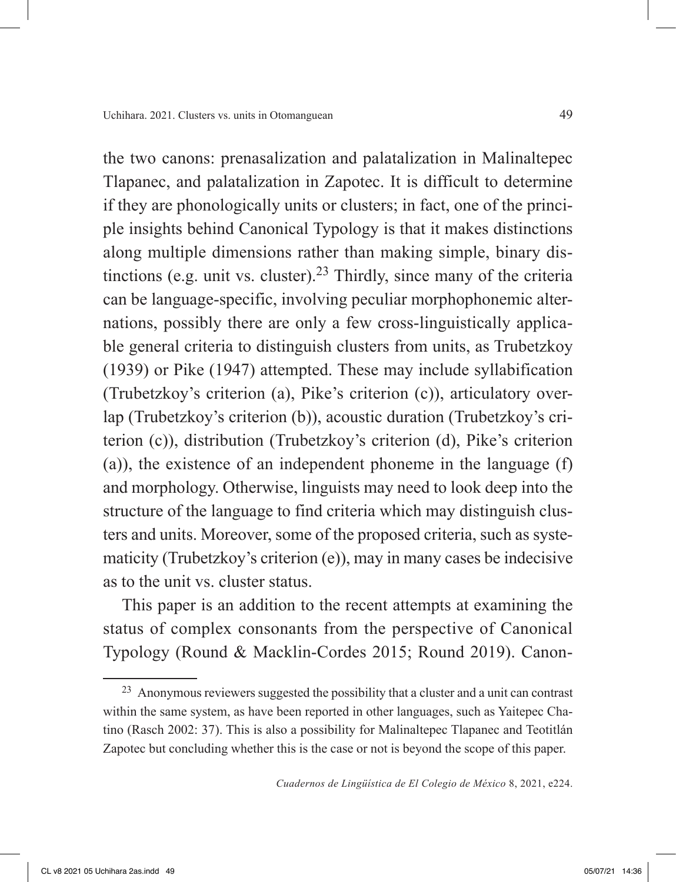the two canons: prenasalization and palatalization in Malinaltepec Tlapanec, and palatalization in Zapotec. It is difficult to determine if they are phonologically units or clusters; in fact, one of the principle insights behind Canonical Typology is that it makes distinctions along multiple dimensions rather than making simple, binary distinctions (e.g. unit vs. cluster).<sup>23</sup> Thirdly, since many of the criteria can be language-specific, involving peculiar morphophonemic alternations, possibly there are only a few cross-linguistically applicable general criteria to distinguish clusters from units, as Trubetzkoy (1939) or Pike (1947) attempted. These may include syllabification (Trubetzkoy's criterion (a), Pike's criterion (c)), articulatory overlap (Trubetzkoy's criterion (b)), acoustic duration (Trubetzkoy's criterion (c)), distribution (Trubetzkoy's criterion (d), Pike's criterion (a)), the existence of an independent phoneme in the language (f) and morphology. Otherwise, linguists may need to look deep into the structure of the language to find criteria which may distinguish clusters and units. Moreover, some of the proposed criteria, such as systematicity (Trubetzkoy's criterion (e)), may in many cases be indecisive as to the unit vs. cluster status.

This paper is an addition to the recent attempts at examining the status of complex consonants from the perspective of Canonical Typology (Round & Macklin-Cordes 2015; Round 2019). Canon-

<sup>23</sup> Anonymous reviewers suggested the possibility that a cluster and a unit can contrast within the same system, as have been reported in other languages, such as Yaitepec Chatino (Rasch 2002: 37). This is also a possibility for Malinaltepec Tlapanec and Teotitlán Zapotec but concluding whether this is the case or not is beyond the scope of this paper.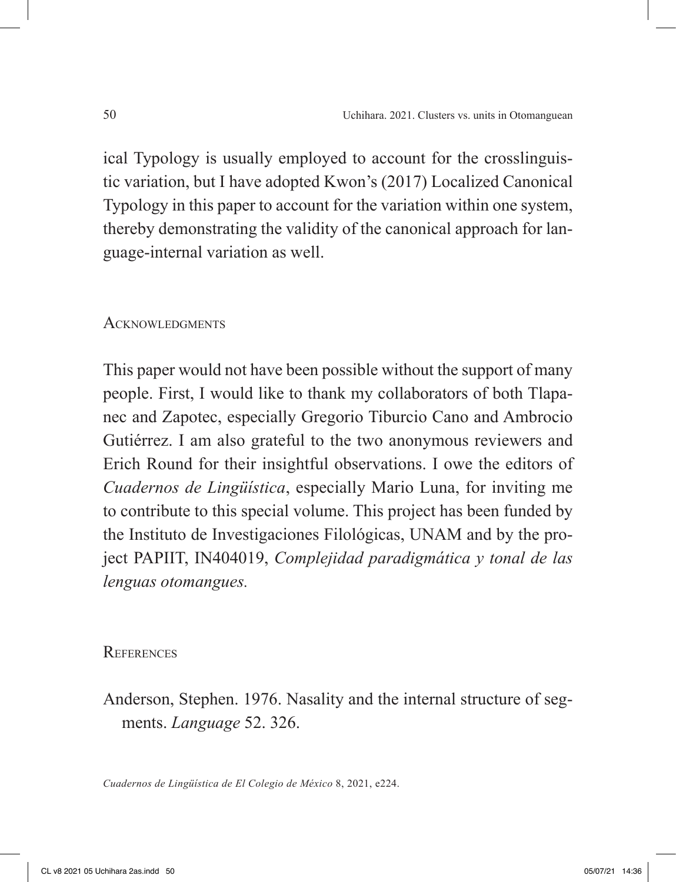ical Typology is usually employed to account for the crosslinguistic variation, but I have adopted Kwon's (2017) Localized Canonical Typology in this paper to account for the variation within one system, thereby demonstrating the validity of the canonical approach for language-internal variation as well.

### ACKNOWLEDGMENTS

This paper would not have been possible without the support of many people. First, I would like to thank my collaborators of both Tlapanec and Zapotec, especially Gregorio Tiburcio Cano and Ambrocio Gutiérrez. I am also grateful to the two anonymous reviewers and Erich Round for their insightful observations. I owe the editors of *Cuadernos de Lingüística*, especially Mario Luna, for inviting me to contribute to this special volume. This project has been funded by the Instituto de Investigaciones Filológicas, UNAM and by the project PAPIIT, IN404019, *Complejidad paradigmática y tonal de las lenguas otomangues.*

### **REFERENCES**

Anderson, Stephen. 1976. Nasality and the internal structure of segments. *Language* 52. 326.

*Cuadernos de Lingüística de El Colegio de México* 8, 2021, e224.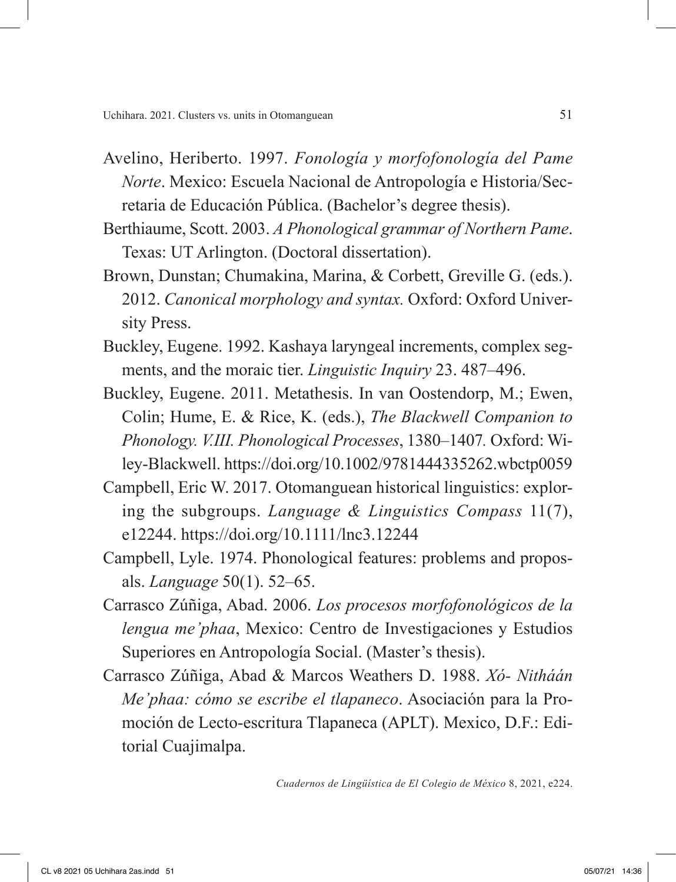- Avelino, Heriberto. 1997. *Fonología y morfofonología del Pame Norte*. Mexico: Escuela Nacional de Antropología e Historia/Secretaria de Educación Pública. (Bachelor's degree thesis).
- Berthiaume, Scott. 2003. *A Phonological grammar of Northern Pame*. Texas: UT Arlington. (Doctoral dissertation).
- Brown, Dunstan; Chumakina, Marina, & Corbett, Greville G. (eds.). 2012. *Canonical morphology and syntax.* Oxford: Oxford University Press.
- Buckley, Eugene. 1992. Kashaya laryngeal increments, complex segments, and the moraic tier. *Linguistic Inquiry* 23. 487–496.
- Buckley, Eugene. 2011. Metathesis. In van Oostendorp, M.; Ewen, Colin; Hume, E. & Rice, K. (eds.), *The Blackwell Companion to Phonology. V.III. Phonological Processes*, 1380–1407*.* Oxford: Wiley-Blackwell. https://doi.org/10.1002/9781444335262.wbctp0059
- Campbell, Eric W. 2017. Otomanguean historical linguistics: exploring the subgroups. *Language & Linguistics Compass* 11(7), e12244. https://doi.org/10.1111/lnc3.12244
- Campbell, Lyle. 1974. Phonological features: problems and proposals. *Language* 50(1). 52–65.
- Carrasco Zúñiga, Abad. 2006. *Los procesos morfofonológicos de la lengua me'phaa*, Mexico: Centro de Investigaciones y Estudios Superiores en Antropología Social. (Master's thesis).
- Carrasco Zúñiga, Abad & Marcos Weathers D. 1988. *Xó- Nitháán Me'phaa: cómo se escribe el tlapaneco*. Asociación para la Promoción de Lecto-escritura Tlapaneca (APLT). Mexico, D.F.: Editorial Cuajimalpa.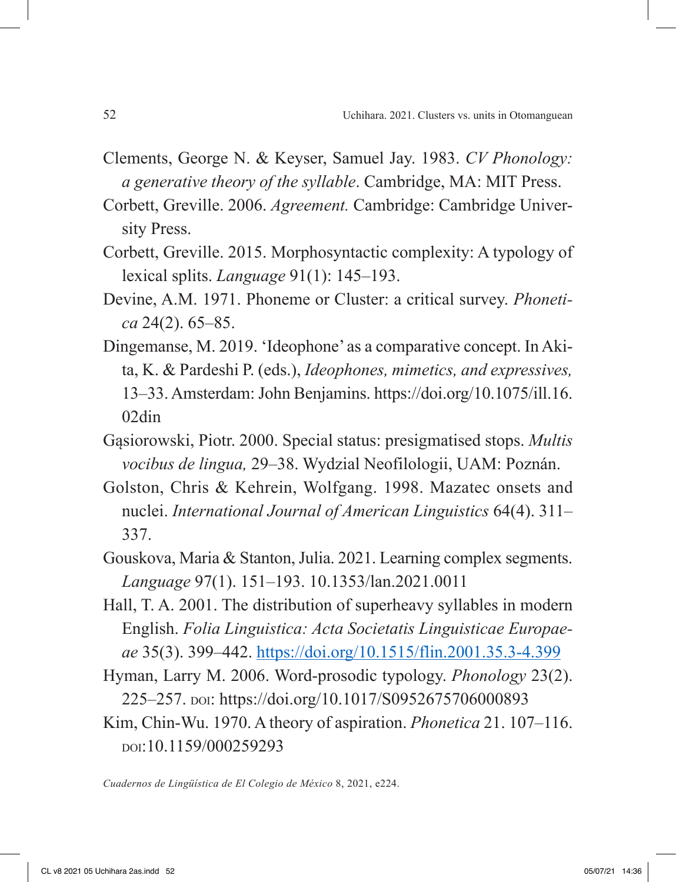- Clements, George N. & Keyser, Samuel Jay. 1983. *CV Phonology: a generative theory of the syllable*. Cambridge, MA: MIT Press.
- Corbett, Greville. 2006. *Agreement.* Cambridge: Cambridge University Press.
- Corbett, Greville. 2015. Morphosyntactic complexity: A typology of lexical splits. *Language* 91(1): 145–193.
- Devine, A.M. 1971. Phoneme or Cluster: a critical survey. *Phonetica* 24(2). 65–85.
- Dingemanse, M. 2019. 'Ideophone' as a comparative concept. In Akita, K. & Pardeshi P. (eds.), *Ideophones, mimetics, and expressives,* 13–33. Amsterdam: John Benjamins. https://doi.org/10.1075/ill.16. 02din
- Gąsiorowski, Piotr. 2000. Special status: presigmatised stops. *Multis vocibus de lingua,* 29–38. Wydzial Neofilologii, UAM: Poznán.
- Golston, Chris & Kehrein, Wolfgang. 1998. Mazatec onsets and nuclei. *International Journal of American Linguistics* 64(4). 311– 337.
- Gouskova, Maria & Stanton, Julia. 2021. Learning complex segments. *Language* 97(1). 151–193. 10.1353/lan.2021.0011
- Hall, T. A. 2001. The distribution of superheavy syllables in modern English. *Folia Linguistica: Acta Societatis Linguisticae Europaeae* 35(3). 399–442. https://doi.org/10.1515/flin.2001.35.3-4.399
- Hyman, Larry M. 2006. Word-prosodic typology. *Phonology* 23(2). 225–257. doi: https://doi.org/10.1017/S0952675706000893
- Kim, Chin-Wu. 1970. A theory of aspiration. *Phonetica* 21. 107–116. doi:10.1159/000259293

*Cuadernos de Lingüística de El Colegio de México* 8, 2021, e224.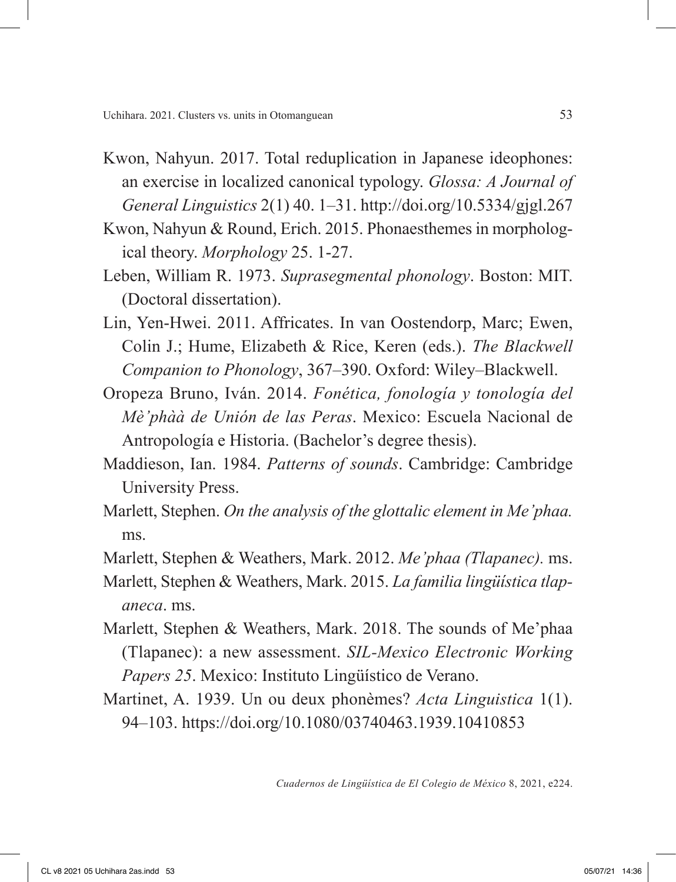- Kwon, Nahyun. 2017. Total reduplication in Japanese ideophones: an exercise in localized canonical typology. *Glossa: A Journal of General Linguistics* 2(1) 40. 1–31. http://doi.org/10.5334/gjgl.267
- Kwon, Nahyun & Round, Erich. 2015. Phonaesthemes in morphological theory. *Morphology* 25. 1-27.
- Leben, William R. 1973. *Suprasegmental phonology*. Boston: MIT. (Doctoral dissertation).
- Lin, Yen-Hwei. 2011. Affricates. In van Oostendorp, Marc; Ewen, Colin J.; Hume, Elizabeth & Rice, Keren (eds.). *The Blackwell Companion to Phonology*, 367–390. Oxford: Wiley–Blackwell.
- Oropeza Bruno, Iván. 2014. *Fonética, fonología y tonología del Mè'phàà de Unión de las Peras*. Mexico: Escuela Nacional de Antropología e Historia. (Bachelor's degree thesis).
- Maddieson, Ian. 1984. *Patterns of sounds*. Cambridge: Cambridge University Press.
- Marlett, Stephen. *On the analysis of the glottalic element in Me'phaa.* ms.
- Marlett, Stephen & Weathers, Mark. 2012. *Me'phaa (Tlapanec).* ms.
- Marlett, Stephen & Weathers, Mark. 2015. *La familia lingüística tlapaneca*. ms.
- Marlett, Stephen & Weathers, Mark. 2018. The sounds of Me'phaa (Tlapanec): a new assessment. *SIL-Mexico Electronic Working Papers 25*. Mexico: Instituto Lingüístico de Verano.
- Martinet, A. 1939. Un ou deux phonèmes? *Acta Linguistica* 1(1). 94–103. https://doi.org/10.1080/03740463.1939.10410853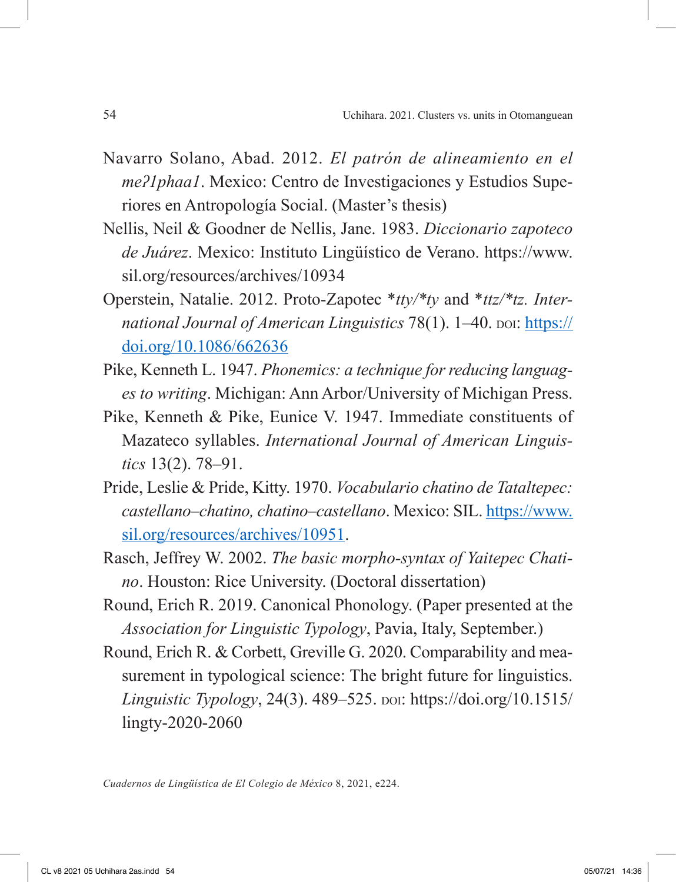- Navarro Solano, Abad. 2012. *El patrón de alineamiento en el meʔ1phaa1*. Mexico: Centro de Investigaciones y Estudios Superiores en Antropología Social. (Master's thesis)
- Nellis, Neil & Goodner de Nellis, Jane. 1983. *Diccionario zapoteco de Juárez*. Mexico: Instituto Lingüístico de Verano. https://www. sil.org/resources/archives/10934
- Operstein, Natalie. 2012. Proto-Zapotec \**tty/\*ty* and \**ttz/\*tz. International Journal of American Linguistics* 78(1). 1-40. poi: https:// doi.org/10.1086/662636
- Pike, Kenneth L. 1947. *Phonemics: a technique for reducing languages to writing*. Michigan: Ann Arbor/University of Michigan Press.
- Pike, Kenneth & Pike, Eunice V. 1947. Immediate constituents of Mazateco syllables. *International Journal of American Linguistics* 13(2). 78–91.
- Pride, Leslie & Pride, Kitty. 1970. *Vocabulario chatino de Tataltepec: castellano–chatino, chatino–castellano*. Mexico: SIL. https://www. sil.org/resources/archives/10951.
- Rasch, Jeffrey W. 2002. *The basic morpho-syntax of Yaitepec Chatino*. Houston: Rice University. (Doctoral dissertation)
- Round, Erich R. 2019. Canonical Phonology. (Paper presented at the *Association for Linguistic Typology*, Pavia, Italy, September.)
- Round, Erich R. & Corbett, Greville G. 2020. Comparability and measurement in typological science: The bright future for linguistics. *Linguistic Typology*, 24(3). 489–525. doi: https://doi.org/10.1515/ lingty-2020-2060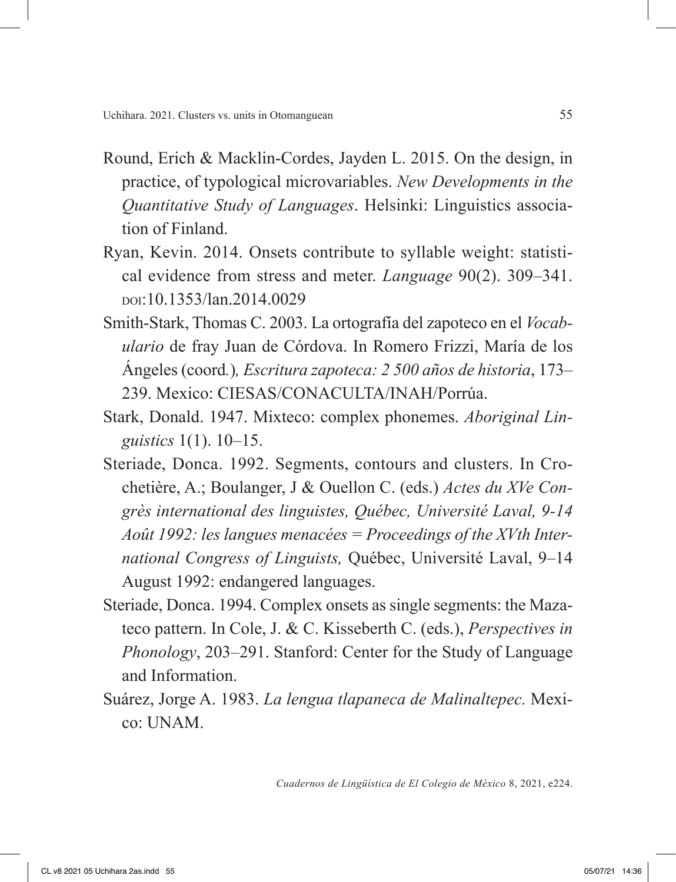- Round, Erich & Macklin-Cordes, Jayden L. 2015. On the design, in practice, of typological microvariables. *New Developments in the Quantitative Study of Languages*. Helsinki: Linguistics association of Finland.
- Ryan, Kevin. 2014. Onsets contribute to syllable weight: statistical evidence from stress and meter. *Language* 90(2). 309–341. doi:10.1353/lan.2014.0029
- Smith-Stark, Thomas C. 2003. La ortografía del zapoteco en el *Vocabulario* de fray Juan de Córdova. In Romero Frizzi, María de los Ángeles (coord*.*)*, Escritura zapoteca: 2 500 años de historia*, 173– 239. Mexico: CIESAS/CONACULTA/INAH/Porrúa.
- Stark, Donald. 1947. Mixteco: complex phonemes. *Aboriginal Linguistics* 1(1). 10–15.
- Steriade, Donca. 1992. Segments, contours and clusters. In Crochetière, A.; Boulanger, J & Ouellon C. (eds.) *Actes du XVe Congrès international des linguistes, Québec, Université Laval, 9-14 Août 1992: les langues menacées = Proceedings of the XVth International Congress of Linguists,* Québec, Université Laval, 9–14 August 1992: endangered languages.
- Steriade, Donca. 1994. Complex onsets as single segments: the Mazateco pattern. In Cole, J. & C. Kisseberth C. (eds.), *Perspectives in Phonology*, 203–291. Stanford: Center for the Study of Language and Information.
- Suárez, Jorge A. 1983. *La lengua tlapaneca de Malinaltepec.* Mexico: UNAM.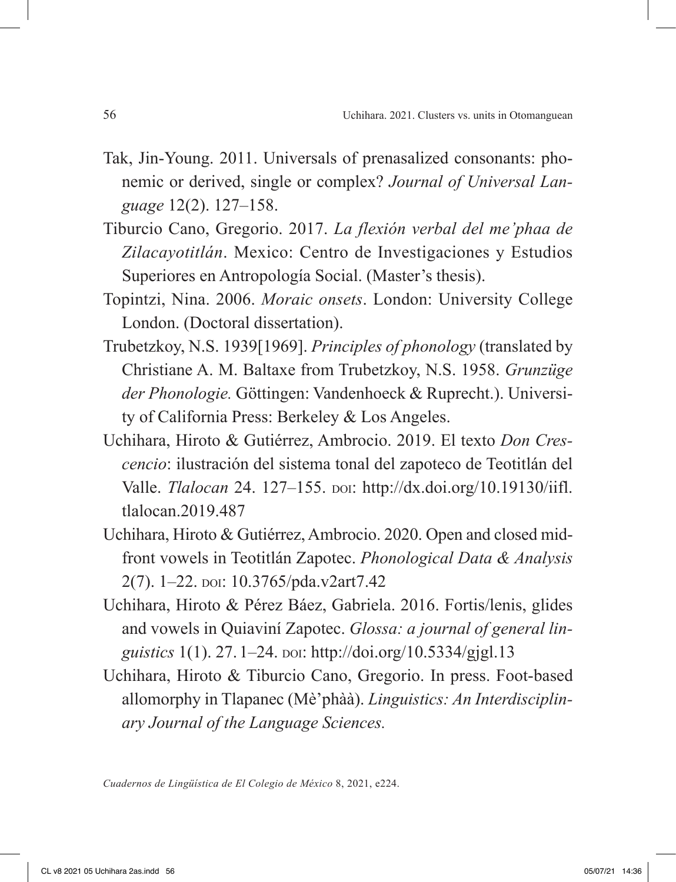- Tak, Jin-Young. 2011. Universals of prenasalized consonants: phonemic or derived, single or complex? *Journal of Universal Language* 12(2). 127–158.
- Tiburcio Cano, Gregorio. 2017. *La flexión verbal del me'phaa de Zilacayotitlán*. Mexico: Centro de Investigaciones y Estudios Superiores en Antropología Social. (Master's thesis).
- Topintzi, Nina. 2006. *Moraic onsets*. London: University College London. (Doctoral dissertation).
- Trubetzkoy, N.S. 1939[1969]. *Principles of phonology* (translated by Christiane A. M. Baltaxe from Trubetzkoy, N.S. 1958. *Grunzüge der Phonologie.* Göttingen: Vandenhoeck & Ruprecht.). University of California Press: Berkeley & Los Angeles.
- Uchihara, Hiroto & Gutiérrez, Ambrocio. 2019. El texto *Don Crescencio*: ilustración del sistema tonal del zapoteco de Teotitlán del Valle. *Tlalocan* 24. 127–155. doi: http://dx.doi.org/10.19130/iifl. tlalocan.2019.487
- Uchihara, Hiroto & Gutiérrez, Ambrocio. 2020. Open and closed midfront vowels in Teotitlán Zapotec. *Phonological Data & Analysis* 2(7). 1-22. poi: 10.3765/pda.v2art7.42
- Uchihara, Hiroto & Pérez Báez, Gabriela. 2016. Fortis/lenis, glides and vowels in Quiaviní Zapotec. *Glossa: a journal of general linguistics* 1(1). 27. 1–24. por: http://doi.org/10.5334/gjgl.13
- Uchihara, Hiroto & Tiburcio Cano, Gregorio. In press. Foot-based allomorphy in Tlapanec (Mè'phàà). *Linguistics: An Interdisciplinary Journal of the Language Sciences.*